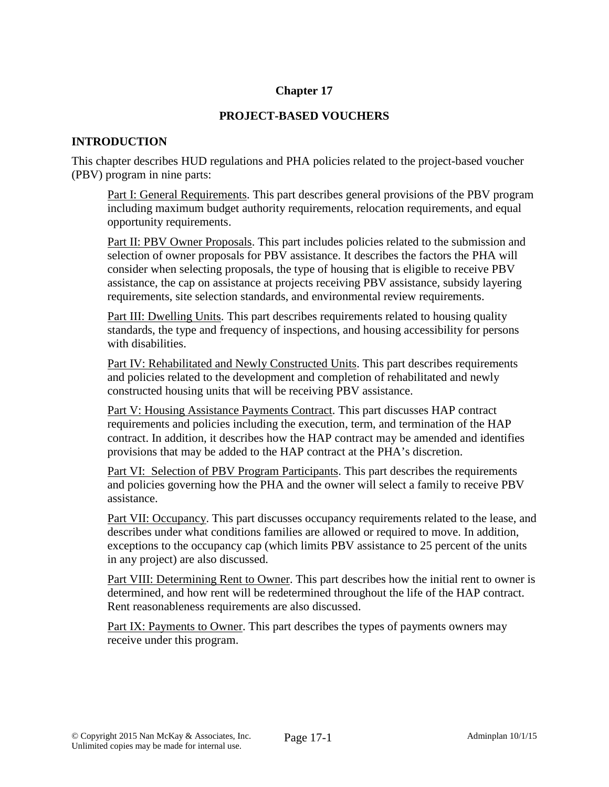# **Chapter 17**

# **PROJECT-BASED VOUCHERS**

# **INTRODUCTION**

This chapter describes HUD regulations and PHA policies related to the project-based voucher (PBV) program in nine parts:

Part I: General Requirements. This part describes general provisions of the PBV program including maximum budget authority requirements, relocation requirements, and equal opportunity requirements.

Part II: PBV Owner Proposals. This part includes policies related to the submission and selection of owner proposals for PBV assistance. It describes the factors the PHA will consider when selecting proposals, the type of housing that is eligible to receive PBV assistance, the cap on assistance at projects receiving PBV assistance, subsidy layering requirements, site selection standards, and environmental review requirements.

Part III: Dwelling Units. This part describes requirements related to housing quality standards, the type and frequency of inspections, and housing accessibility for persons with disabilities.

Part IV: Rehabilitated and Newly Constructed Units. This part describes requirements and policies related to the development and completion of rehabilitated and newly constructed housing units that will be receiving PBV assistance.

Part V: Housing Assistance Payments Contract. This part discusses HAP contract requirements and policies including the execution, term, and termination of the HAP contract. In addition, it describes how the HAP contract may be amended and identifies provisions that may be added to the HAP contract at the PHA's discretion.

Part VI: Selection of PBV Program Participants. This part describes the requirements and policies governing how the PHA and the owner will select a family to receive PBV assistance.

Part VII: Occupancy. This part discusses occupancy requirements related to the lease, and describes under what conditions families are allowed or required to move. In addition, exceptions to the occupancy cap (which limits PBV assistance to 25 percent of the units in any project) are also discussed.

Part VIII: Determining Rent to Owner. This part describes how the initial rent to owner is determined, and how rent will be redetermined throughout the life of the HAP contract. Rent reasonableness requirements are also discussed.

Part IX: Payments to Owner. This part describes the types of payments owners may receive under this program.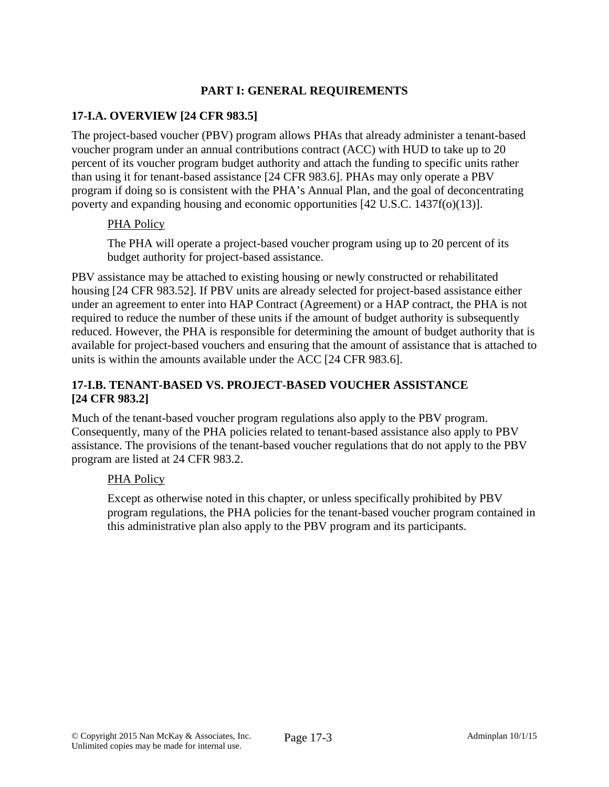# **PART I: GENERAL REQUIREMENTS**

# **17-I.A. OVERVIEW [24 CFR 983.5]**

The project-based voucher (PBV) program allows PHAs that already administer a tenant-based voucher program under an annual contributions contract (ACC) with HUD to take up to 20 percent of its voucher program budget authority and attach the funding to specific units rather than using it for tenant-based assistance [24 CFR 983.6]. PHAs may only operate a PBV program if doing so is consistent with the PHA's Annual Plan, and the goal of deconcentrating poverty and expanding housing and economic opportunities [42 U.S.C. 1437f(o)(13)].

#### PHA Policy

The PHA will operate a project-based voucher program using up to 20 percent of its budget authority for project-based assistance.

PBV assistance may be attached to existing housing or newly constructed or rehabilitated housing [24 CFR 983.52]. If PBV units are already selected for project-based assistance either under an agreement to enter into HAP Contract (Agreement) or a HAP contract, the PHA is not required to reduce the number of these units if the amount of budget authority is subsequently reduced. However, the PHA is responsible for determining the amount of budget authority that is available for project-based vouchers and ensuring that the amount of assistance that is attached to units is within the amounts available under the ACC [24 CFR 983.6].

# **17-I.B. TENANT-BASED VS. PROJECT-BASED VOUCHER ASSISTANCE [24 CFR 983.2]**

Much of the tenant-based voucher program regulations also apply to the PBV program. Consequently, many of the PHA policies related to tenant-based assistance also apply to PBV assistance. The provisions of the tenant-based voucher regulations that do not apply to the PBV program are listed at 24 CFR 983.2.

# PHA Policy

Except as otherwise noted in this chapter, or unless specifically prohibited by PBV program regulations, the PHA policies for the tenant-based voucher program contained in this administrative plan also apply to the PBV program and its participants.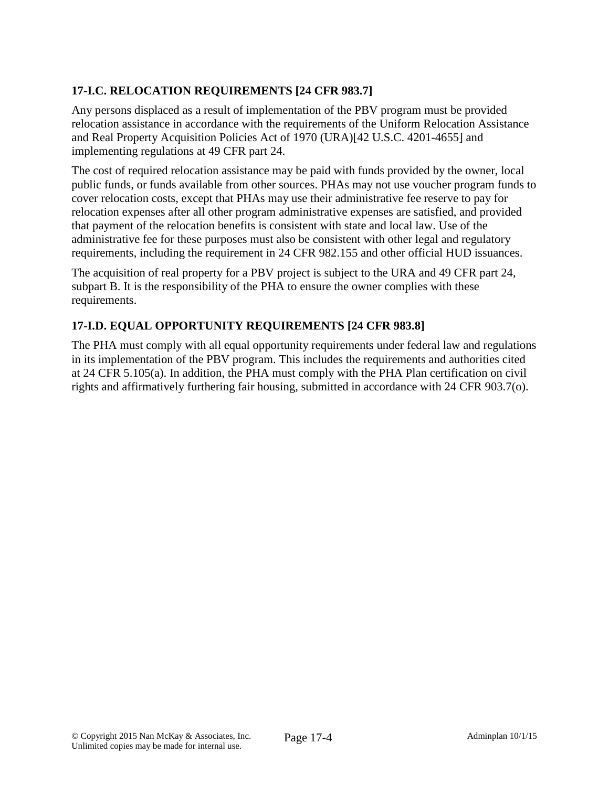# **17-I.C. RELOCATION REQUIREMENTS [24 CFR 983.7]**

Any persons displaced as a result of implementation of the PBV program must be provided relocation assistance in accordance with the requirements of the Uniform Relocation Assistance and Real Property Acquisition Policies Act of 1970 (URA)[42 U.S.C. 4201-4655] and implementing regulations at 49 CFR part 24.

The cost of required relocation assistance may be paid with funds provided by the owner, local public funds, or funds available from other sources. PHAs may not use voucher program funds to cover relocation costs, except that PHAs may use their administrative fee reserve to pay for relocation expenses after all other program administrative expenses are satisfied, and provided that payment of the relocation benefits is consistent with state and local law. Use of the administrative fee for these purposes must also be consistent with other legal and regulatory requirements, including the requirement in 24 CFR 982.155 and other official HUD issuances.

The acquisition of real property for a PBV project is subject to the URA and 49 CFR part 24, subpart B. It is the responsibility of the PHA to ensure the owner complies with these requirements.

# **17-I.D. EQUAL OPPORTUNITY REQUIREMENTS [24 CFR 983.8]**

The PHA must comply with all equal opportunity requirements under federal law and regulations in its implementation of the PBV program. This includes the requirements and authorities cited at 24 CFR 5.105(a). In addition, the PHA must comply with the PHA Plan certification on civil rights and affirmatively furthering fair housing, submitted in accordance with 24 CFR 903.7(o).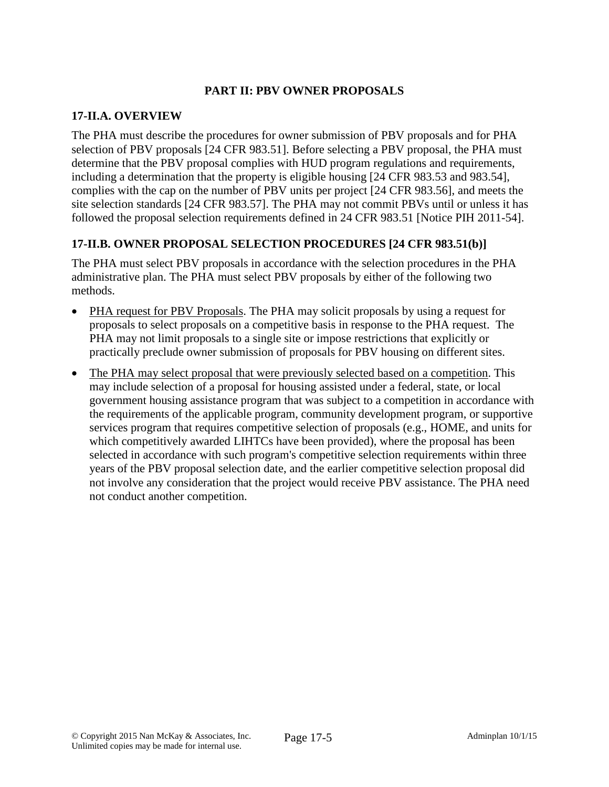# **PART II: PBV OWNER PROPOSALS**

### **17-II.A. OVERVIEW**

The PHA must describe the procedures for owner submission of PBV proposals and for PHA selection of PBV proposals [24 CFR 983.51]. Before selecting a PBV proposal, the PHA must determine that the PBV proposal complies with HUD program regulations and requirements, including a determination that the property is eligible housing [24 CFR 983.53 and 983.54], complies with the cap on the number of PBV units per project [24 CFR 983.56], and meets the site selection standards [24 CFR 983.57]. The PHA may not commit PBVs until or unless it has followed the proposal selection requirements defined in 24 CFR 983.51 [Notice PIH 2011-54].

# **17-II.B. OWNER PROPOSAL SELECTION PROCEDURES [24 CFR 983.51(b)]**

The PHA must select PBV proposals in accordance with the selection procedures in the PHA administrative plan. The PHA must select PBV proposals by either of the following two methods.

- PHA request for PBV Proposals. The PHA may solicit proposals by using a request for proposals to select proposals on a competitive basis in response to the PHA request. The PHA may not limit proposals to a single site or impose restrictions that explicitly or practically preclude owner submission of proposals for PBV housing on different sites.
- The PHA may select proposal that were previously selected based on a competition. This may include selection of a proposal for housing assisted under a federal, state, or local government housing assistance program that was subject to a competition in accordance with the requirements of the applicable program, community development program, or supportive services program that requires competitive selection of proposals (e.g., HOME, and units for which competitively awarded LIHTCs have been provided), where the proposal has been selected in accordance with such program's competitive selection requirements within three years of the PBV proposal selection date, and the earlier competitive selection proposal did not involve any consideration that the project would receive PBV assistance. The PHA need not conduct another competition.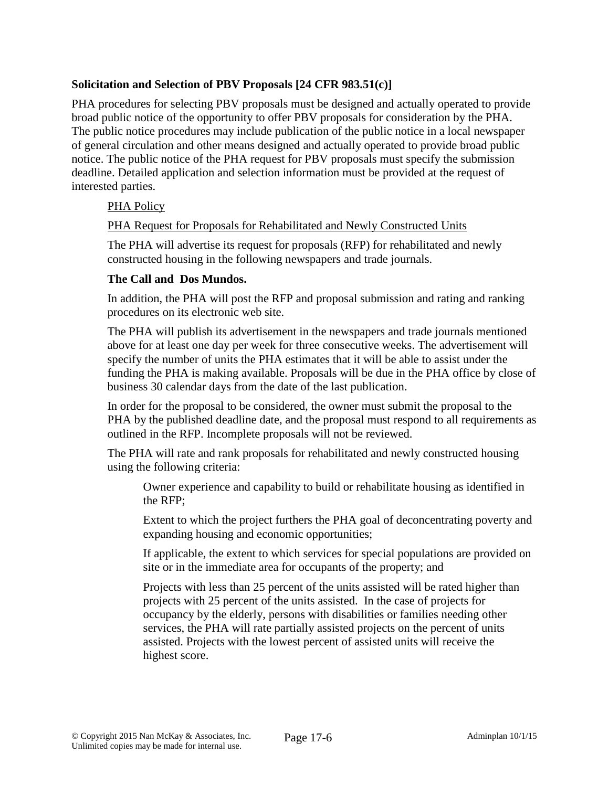# **Solicitation and Selection of PBV Proposals [24 CFR 983.51(c)]**

PHA procedures for selecting PBV proposals must be designed and actually operated to provide broad public notice of the opportunity to offer PBV proposals for consideration by the PHA. The public notice procedures may include publication of the public notice in a local newspaper of general circulation and other means designed and actually operated to provide broad public notice. The public notice of the PHA request for PBV proposals must specify the submission deadline. Detailed application and selection information must be provided at the request of interested parties.

# PHA Policy

# PHA Request for Proposals for Rehabilitated and Newly Constructed Units

The PHA will advertise its request for proposals (RFP) for rehabilitated and newly constructed housing in the following newspapers and trade journals.

# **The Call and Dos Mundos.**

In addition, the PHA will post the RFP and proposal submission and rating and ranking procedures on its electronic web site.

The PHA will publish its advertisement in the newspapers and trade journals mentioned above for at least one day per week for three consecutive weeks. The advertisement will specify the number of units the PHA estimates that it will be able to assist under the funding the PHA is making available. Proposals will be due in the PHA office by close of business 30 calendar days from the date of the last publication.

In order for the proposal to be considered, the owner must submit the proposal to the PHA by the published deadline date, and the proposal must respond to all requirements as outlined in the RFP. Incomplete proposals will not be reviewed.

The PHA will rate and rank proposals for rehabilitated and newly constructed housing using the following criteria:

Owner experience and capability to build or rehabilitate housing as identified in the RFP;

Extent to which the project furthers the PHA goal of deconcentrating poverty and expanding housing and economic opportunities;

If applicable, the extent to which services for special populations are provided on site or in the immediate area for occupants of the property; and

Projects with less than 25 percent of the units assisted will be rated higher than projects with 25 percent of the units assisted. In the case of projects for occupancy by the elderly, persons with disabilities or families needing other services, the PHA will rate partially assisted projects on the percent of units assisted. Projects with the lowest percent of assisted units will receive the highest score.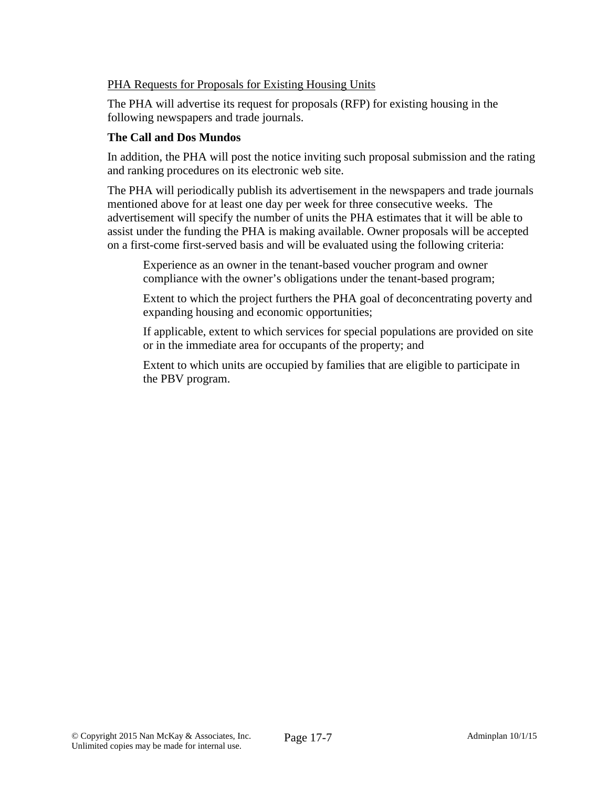# PHA Requests for Proposals for Existing Housing Units

The PHA will advertise its request for proposals (RFP) for existing housing in the following newspapers and trade journals.

### **The Call and Dos Mundos**

In addition, the PHA will post the notice inviting such proposal submission and the rating and ranking procedures on its electronic web site.

The PHA will periodically publish its advertisement in the newspapers and trade journals mentioned above for at least one day per week for three consecutive weeks. The advertisement will specify the number of units the PHA estimates that it will be able to assist under the funding the PHA is making available. Owner proposals will be accepted on a first-come first-served basis and will be evaluated using the following criteria:

Experience as an owner in the tenant-based voucher program and owner compliance with the owner's obligations under the tenant-based program;

Extent to which the project furthers the PHA goal of deconcentrating poverty and expanding housing and economic opportunities;

If applicable, extent to which services for special populations are provided on site or in the immediate area for occupants of the property; and

Extent to which units are occupied by families that are eligible to participate in the PBV program.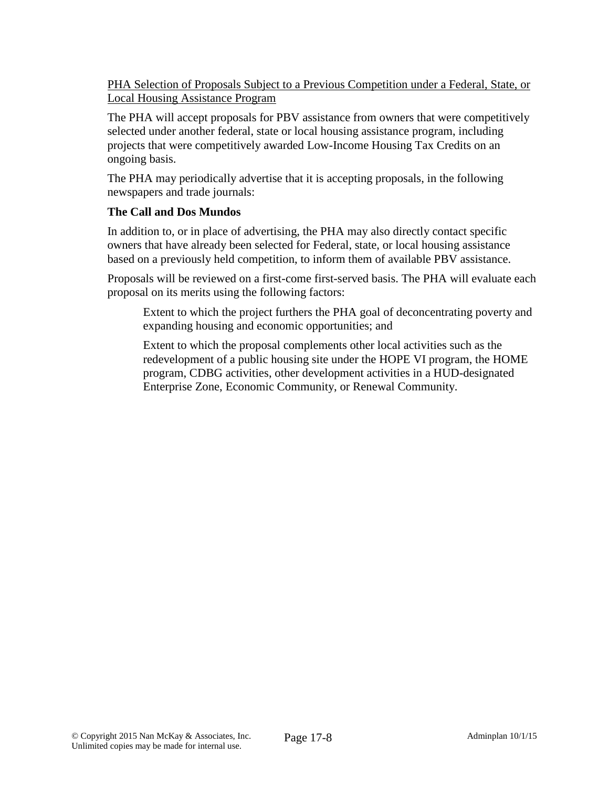PHA Selection of Proposals Subject to a Previous Competition under a Federal, State, or Local Housing Assistance Program

The PHA will accept proposals for PBV assistance from owners that were competitively selected under another federal, state or local housing assistance program, including projects that were competitively awarded Low-Income Housing Tax Credits on an ongoing basis.

The PHA may periodically advertise that it is accepting proposals, in the following newspapers and trade journals:

# **The Call and Dos Mundos**

In addition to, or in place of advertising, the PHA may also directly contact specific owners that have already been selected for Federal, state, or local housing assistance based on a previously held competition, to inform them of available PBV assistance.

Proposals will be reviewed on a first-come first-served basis. The PHA will evaluate each proposal on its merits using the following factors:

Extent to which the project furthers the PHA goal of deconcentrating poverty and expanding housing and economic opportunities; and

Extent to which the proposal complements other local activities such as the redevelopment of a public housing site under the HOPE VI program, the HOME program, CDBG activities, other development activities in a HUD-designated Enterprise Zone, Economic Community, or Renewal Community.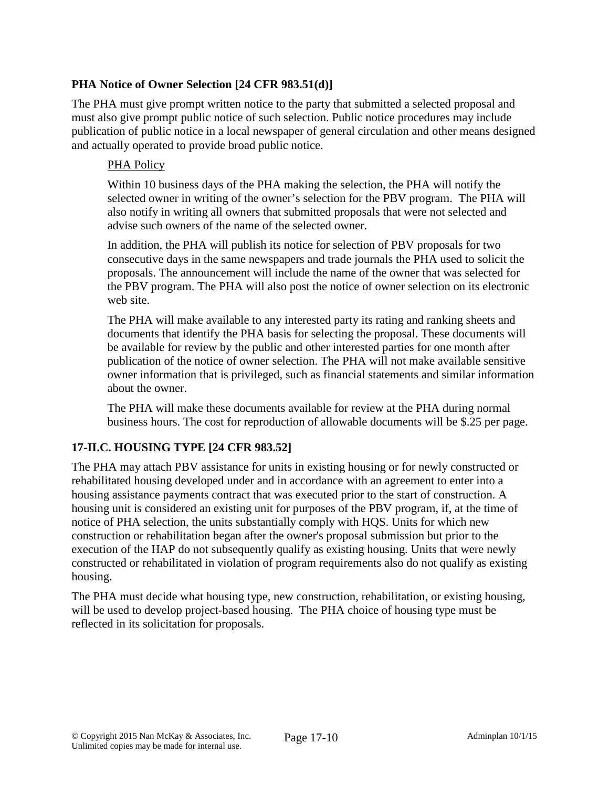# **PHA Notice of Owner Selection [24 CFR 983.51(d)]**

The PHA must give prompt written notice to the party that submitted a selected proposal and must also give prompt public notice of such selection. Public notice procedures may include publication of public notice in a local newspaper of general circulation and other means designed and actually operated to provide broad public notice.

### PHA Policy

Within 10 business days of the PHA making the selection, the PHA will notify the selected owner in writing of the owner's selection for the PBV program. The PHA will also notify in writing all owners that submitted proposals that were not selected and advise such owners of the name of the selected owner.

In addition, the PHA will publish its notice for selection of PBV proposals for two consecutive days in the same newspapers and trade journals the PHA used to solicit the proposals. The announcement will include the name of the owner that was selected for the PBV program. The PHA will also post the notice of owner selection on its electronic web site.

The PHA will make available to any interested party its rating and ranking sheets and documents that identify the PHA basis for selecting the proposal. These documents will be available for review by the public and other interested parties for one month after publication of the notice of owner selection. The PHA will not make available sensitive owner information that is privileged, such as financial statements and similar information about the owner.

The PHA will make these documents available for review at the PHA during normal business hours. The cost for reproduction of allowable documents will be \$.25 per page.

# **17-II.C. HOUSING TYPE [24 CFR 983.52]**

The PHA may attach PBV assistance for units in existing housing or for newly constructed or rehabilitated housing developed under and in accordance with an agreement to enter into a housing assistance payments contract that was executed prior to the start of construction. A housing unit is considered an existing unit for purposes of the PBV program, if, at the time of notice of PHA selection, the units substantially comply with HQS. Units for which new construction or rehabilitation began after the owner's proposal submission but prior to the execution of the HAP do not subsequently qualify as existing housing. Units that were newly constructed or rehabilitated in violation of program requirements also do not qualify as existing housing.

The PHA must decide what housing type, new construction, rehabilitation, or existing housing, will be used to develop project-based housing. The PHA choice of housing type must be reflected in its solicitation for proposals.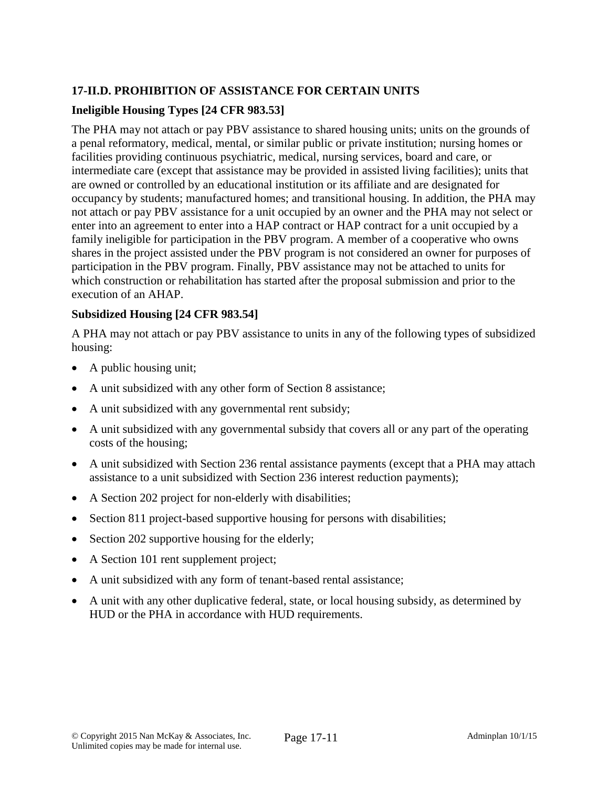# **17-II.D. PROHIBITION OF ASSISTANCE FOR CERTAIN UNITS**

# **Ineligible Housing Types [24 CFR 983.53]**

The PHA may not attach or pay PBV assistance to shared housing units; units on the grounds of a penal reformatory, medical, mental, or similar public or private institution; nursing homes or facilities providing continuous psychiatric, medical, nursing services, board and care, or intermediate care (except that assistance may be provided in assisted living facilities); units that are owned or controlled by an educational institution or its affiliate and are designated for occupancy by students; manufactured homes; and transitional housing. In addition, the PHA may not attach or pay PBV assistance for a unit occupied by an owner and the PHA may not select or enter into an agreement to enter into a HAP contract or HAP contract for a unit occupied by a family ineligible for participation in the PBV program. A member of a cooperative who owns shares in the project assisted under the PBV program is not considered an owner for purposes of participation in the PBV program. Finally, PBV assistance may not be attached to units for which construction or rehabilitation has started after the proposal submission and prior to the execution of an AHAP.

# **Subsidized Housing [24 CFR 983.54]**

A PHA may not attach or pay PBV assistance to units in any of the following types of subsidized housing:

- A public housing unit;
- A unit subsidized with any other form of Section 8 assistance;
- A unit subsidized with any governmental rent subsidy;
- A unit subsidized with any governmental subsidy that covers all or any part of the operating costs of the housing;
- A unit subsidized with Section 236 rental assistance payments (except that a PHA may attach assistance to a unit subsidized with Section 236 interest reduction payments);
- A Section 202 project for non-elderly with disabilities;
- Section 811 project-based supportive housing for persons with disabilities;
- Section 202 supportive housing for the elderly;
- A Section 101 rent supplement project;
- A unit subsidized with any form of tenant-based rental assistance;
- A unit with any other duplicative federal, state, or local housing subsidy, as determined by HUD or the PHA in accordance with HUD requirements.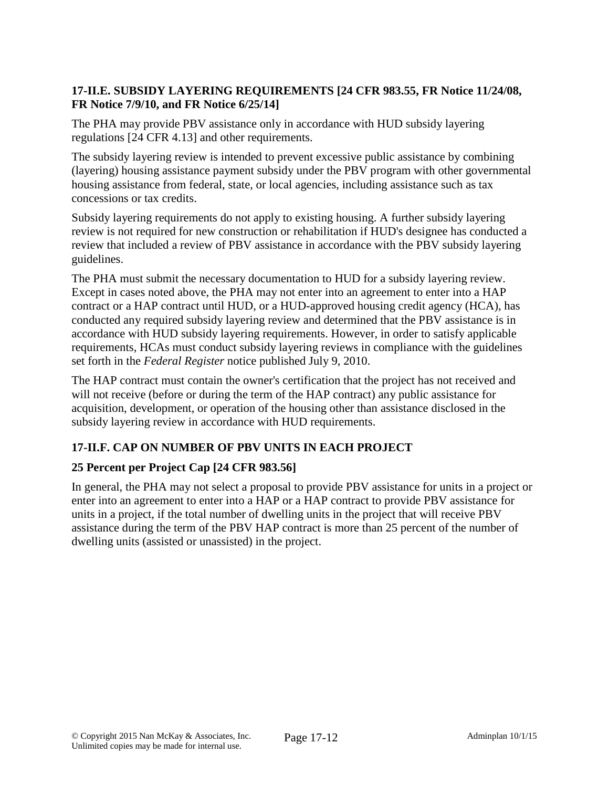# **17-II.E. SUBSIDY LAYERING REQUIREMENTS [24 CFR 983.55, FR Notice 11/24/08, FR Notice 7/9/10, and FR Notice 6/25/14]**

The PHA may provide PBV assistance only in accordance with HUD subsidy layering regulations [24 CFR 4.13] and other requirements.

The subsidy layering review is intended to prevent excessive public assistance by combining (layering) housing assistance payment subsidy under the PBV program with other governmental housing assistance from federal, state, or local agencies, including assistance such as tax concessions or tax credits.

Subsidy layering requirements do not apply to existing housing. A further subsidy layering review is not required for new construction or rehabilitation if HUD's designee has conducted a review that included a review of PBV assistance in accordance with the PBV subsidy layering guidelines.

The PHA must submit the necessary documentation to HUD for a subsidy layering review. Except in cases noted above, the PHA may not enter into an agreement to enter into a HAP contract or a HAP contract until HUD, or a HUD-approved housing credit agency (HCA), has conducted any required subsidy layering review and determined that the PBV assistance is in accordance with HUD subsidy layering requirements. However, in order to satisfy applicable requirements, HCAs must conduct subsidy layering reviews in compliance with the guidelines set forth in the *Federal Register* notice published July 9, 2010.

The HAP contract must contain the owner's certification that the project has not received and will not receive (before or during the term of the HAP contract) any public assistance for acquisition, development, or operation of the housing other than assistance disclosed in the subsidy layering review in accordance with HUD requirements.

# **17-II.F. CAP ON NUMBER OF PBV UNITS IN EACH PROJECT**

# **25 Percent per Project Cap [24 CFR 983.56]**

In general, the PHA may not select a proposal to provide PBV assistance for units in a project or enter into an agreement to enter into a HAP or a HAP contract to provide PBV assistance for units in a project, if the total number of dwelling units in the project that will receive PBV assistance during the term of the PBV HAP contract is more than 25 percent of the number of dwelling units (assisted or unassisted) in the project.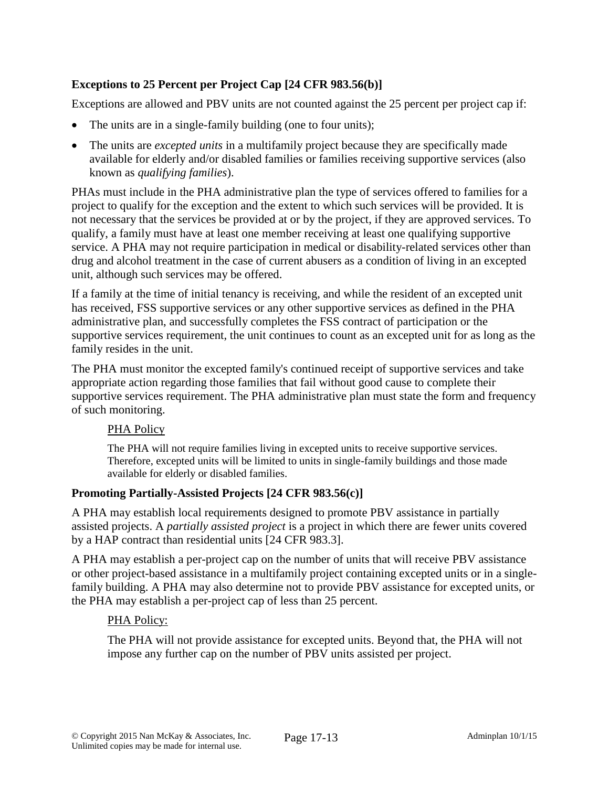# **Exceptions to 25 Percent per Project Cap [24 CFR 983.56(b)]**

Exceptions are allowed and PBV units are not counted against the 25 percent per project cap if:

- The units are in a single-family building (one to four units);
- The units are *excepted units* in a multifamily project because they are specifically made available for elderly and/or disabled families or families receiving supportive services (also known as *qualifying families*).

PHAs must include in the PHA administrative plan the type of services offered to families for a project to qualify for the exception and the extent to which such services will be provided. It is not necessary that the services be provided at or by the project, if they are approved services. To qualify, a family must have at least one member receiving at least one qualifying supportive service. A PHA may not require participation in medical or disability-related services other than drug and alcohol treatment in the case of current abusers as a condition of living in an excepted unit, although such services may be offered.

If a family at the time of initial tenancy is receiving, and while the resident of an excepted unit has received, FSS supportive services or any other supportive services as defined in the PHA administrative plan, and successfully completes the FSS contract of participation or the supportive services requirement, the unit continues to count as an excepted unit for as long as the family resides in the unit.

The PHA must monitor the excepted family's continued receipt of supportive services and take appropriate action regarding those families that fail without good cause to complete their supportive services requirement. The PHA administrative plan must state the form and frequency of such monitoring.

# PHA Policy

The PHA will not require families living in excepted units to receive supportive services. Therefore, excepted units will be limited to units in single-family buildings and those made available for elderly or disabled families.

# **Promoting Partially-Assisted Projects [24 CFR 983.56(c)]**

A PHA may establish local requirements designed to promote PBV assistance in partially assisted projects. A *partially assisted project* is a project in which there are fewer units covered by a HAP contract than residential units [24 CFR 983.3].

A PHA may establish a per-project cap on the number of units that will receive PBV assistance or other project-based assistance in a multifamily project containing excepted units or in a singlefamily building. A PHA may also determine not to provide PBV assistance for excepted units, or the PHA may establish a per-project cap of less than 25 percent.

# PHA Policy:

The PHA will not provide assistance for excepted units. Beyond that, the PHA will not impose any further cap on the number of PBV units assisted per project.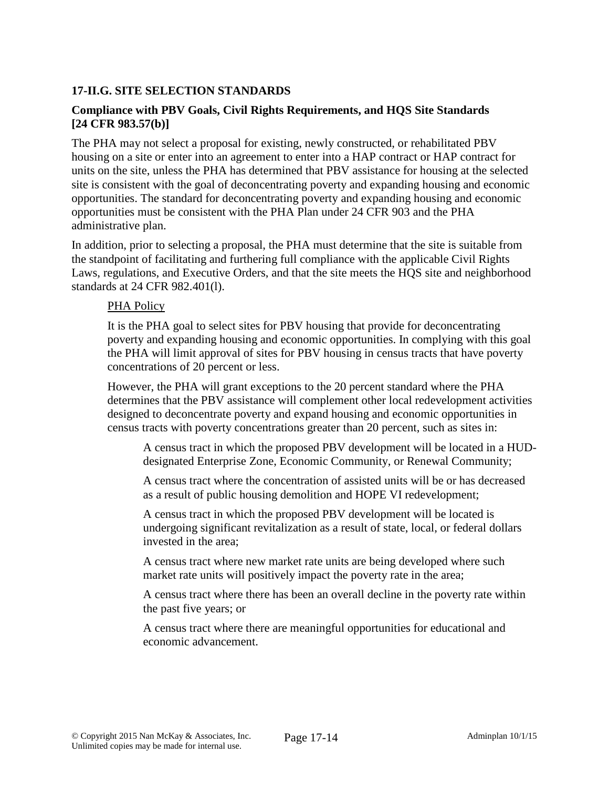# **17-II.G. SITE SELECTION STANDARDS**

# **Compliance with PBV Goals, Civil Rights Requirements, and HQS Site Standards [24 CFR 983.57(b)]**

The PHA may not select a proposal for existing, newly constructed, or rehabilitated PBV housing on a site or enter into an agreement to enter into a HAP contract or HAP contract for units on the site, unless the PHA has determined that PBV assistance for housing at the selected site is consistent with the goal of deconcentrating poverty and expanding housing and economic opportunities. The standard for deconcentrating poverty and expanding housing and economic opportunities must be consistent with the PHA Plan under 24 CFR 903 and the PHA administrative plan.

In addition, prior to selecting a proposal, the PHA must determine that the site is suitable from the standpoint of facilitating and furthering full compliance with the applicable Civil Rights Laws, regulations, and Executive Orders, and that the site meets the HQS site and neighborhood standards at 24 CFR 982.401(l).

#### PHA Policy

It is the PHA goal to select sites for PBV housing that provide for deconcentrating poverty and expanding housing and economic opportunities. In complying with this goal the PHA will limit approval of sites for PBV housing in census tracts that have poverty concentrations of 20 percent or less.

However, the PHA will grant exceptions to the 20 percent standard where the PHA determines that the PBV assistance will complement other local redevelopment activities designed to deconcentrate poverty and expand housing and economic opportunities in census tracts with poverty concentrations greater than 20 percent, such as sites in:

A census tract in which the proposed PBV development will be located in a HUDdesignated Enterprise Zone, Economic Community, or Renewal Community;

A census tract where the concentration of assisted units will be or has decreased as a result of public housing demolition and HOPE VI redevelopment;

A census tract in which the proposed PBV development will be located is undergoing significant revitalization as a result of state, local, or federal dollars invested in the area;

A census tract where new market rate units are being developed where such market rate units will positively impact the poverty rate in the area;

A census tract where there has been an overall decline in the poverty rate within the past five years; or

A census tract where there are meaningful opportunities for educational and economic advancement.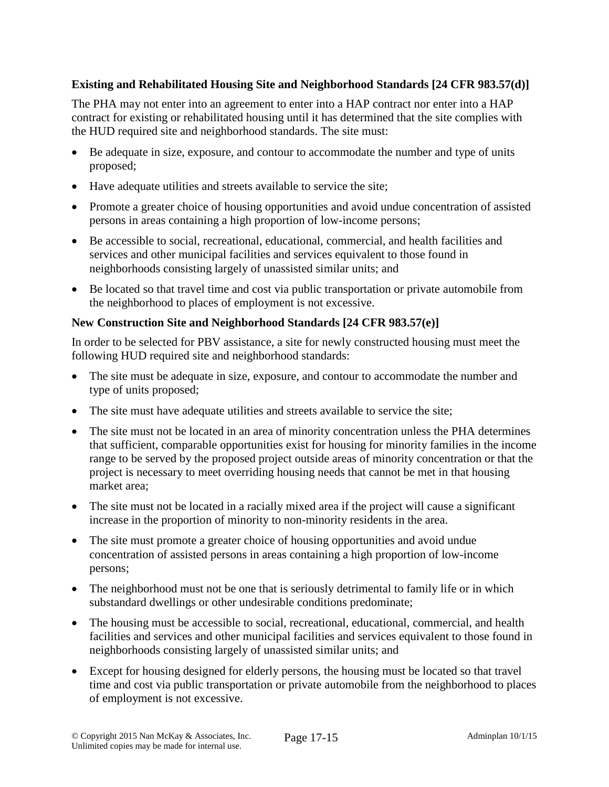# **Existing and Rehabilitated Housing Site and Neighborhood Standards [24 CFR 983.57(d)]**

The PHA may not enter into an agreement to enter into a HAP contract nor enter into a HAP contract for existing or rehabilitated housing until it has determined that the site complies with the HUD required site and neighborhood standards. The site must:

- Be adequate in size, exposure, and contour to accommodate the number and type of units proposed;
- Have adequate utilities and streets available to service the site;
- Promote a greater choice of housing opportunities and avoid undue concentration of assisted persons in areas containing a high proportion of low-income persons;
- Be accessible to social, recreational, educational, commercial, and health facilities and services and other municipal facilities and services equivalent to those found in neighborhoods consisting largely of unassisted similar units; and
- Be located so that travel time and cost via public transportation or private automobile from the neighborhood to places of employment is not excessive.

# **New Construction Site and Neighborhood Standards [24 CFR 983.57(e)]**

In order to be selected for PBV assistance, a site for newly constructed housing must meet the following HUD required site and neighborhood standards:

- The site must be adequate in size, exposure, and contour to accommodate the number and type of units proposed;
- The site must have adequate utilities and streets available to service the site;
- The site must not be located in an area of minority concentration unless the PHA determines that sufficient, comparable opportunities exist for housing for minority families in the income range to be served by the proposed project outside areas of minority concentration or that the project is necessary to meet overriding housing needs that cannot be met in that housing market area;
- The site must not be located in a racially mixed area if the project will cause a significant increase in the proportion of minority to non-minority residents in the area.
- The site must promote a greater choice of housing opportunities and avoid undue concentration of assisted persons in areas containing a high proportion of low-income persons;
- The neighborhood must not be one that is seriously detrimental to family life or in which substandard dwellings or other undesirable conditions predominate;
- The housing must be accessible to social, recreational, educational, commercial, and health facilities and services and other municipal facilities and services equivalent to those found in neighborhoods consisting largely of unassisted similar units; and
- Except for housing designed for elderly persons, the housing must be located so that travel time and cost via public transportation or private automobile from the neighborhood to places of employment is not excessive.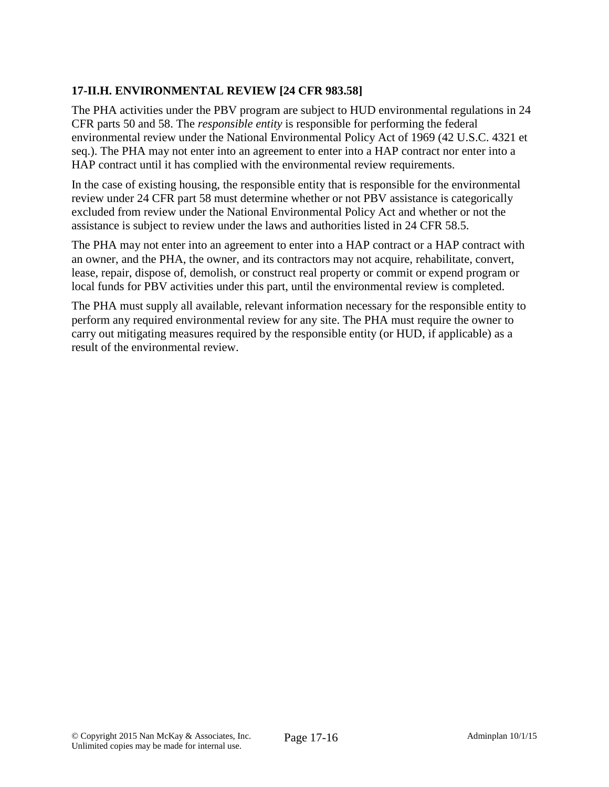# **17-II.H. ENVIRONMENTAL REVIEW [24 CFR 983.58]**

The PHA activities under the PBV program are subject to HUD environmental regulations in 24 CFR parts 50 and 58. The *responsible entity* is responsible for performing the federal environmental review under the National Environmental Policy Act of 1969 (42 U.S.C. 4321 et seq.). The PHA may not enter into an agreement to enter into a HAP contract nor enter into a HAP contract until it has complied with the environmental review requirements.

In the case of existing housing, the responsible entity that is responsible for the environmental review under 24 CFR part 58 must determine whether or not PBV assistance is categorically excluded from review under the National Environmental Policy Act and whether or not the assistance is subject to review under the laws and authorities listed in 24 CFR 58.5.

The PHA may not enter into an agreement to enter into a HAP contract or a HAP contract with an owner, and the PHA, the owner, and its contractors may not acquire, rehabilitate, convert, lease, repair, dispose of, demolish, or construct real property or commit or expend program or local funds for PBV activities under this part, until the environmental review is completed.

The PHA must supply all available, relevant information necessary for the responsible entity to perform any required environmental review for any site. The PHA must require the owner to carry out mitigating measures required by the responsible entity (or HUD, if applicable) as a result of the environmental review.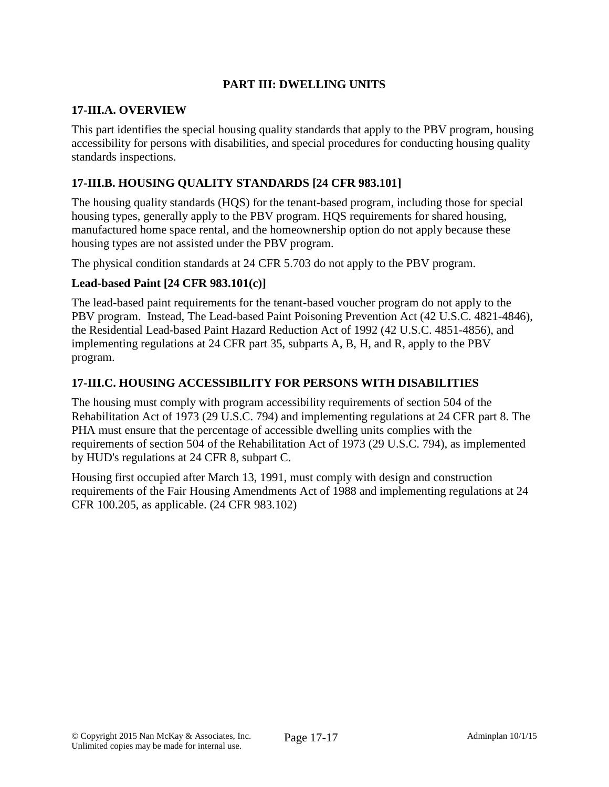# **PART III: DWELLING UNITS**

#### **17-III.A. OVERVIEW**

This part identifies the special housing quality standards that apply to the PBV program, housing accessibility for persons with disabilities, and special procedures for conducting housing quality standards inspections.

# **17-III.B. HOUSING QUALITY STANDARDS [24 CFR 983.101]**

The housing quality standards (HQS) for the tenant-based program, including those for special housing types, generally apply to the PBV program. HQS requirements for shared housing, manufactured home space rental, and the homeownership option do not apply because these housing types are not assisted under the PBV program.

The physical condition standards at 24 CFR 5.703 do not apply to the PBV program.

#### **Lead-based Paint [24 CFR 983.101(c)]**

The lead-based paint requirements for the tenant-based voucher program do not apply to the PBV program. Instead, The Lead-based Paint Poisoning Prevention Act (42 U.S.C. 4821-4846), the Residential Lead-based Paint Hazard Reduction Act of 1992 (42 U.S.C. 4851-4856), and implementing regulations at 24 CFR part 35, subparts A, B, H, and R, apply to the PBV program.

#### **17-III.C. HOUSING ACCESSIBILITY FOR PERSONS WITH DISABILITIES**

The housing must comply with program accessibility requirements of section 504 of the Rehabilitation Act of 1973 (29 U.S.C. 794) and implementing regulations at 24 CFR part 8. The PHA must ensure that the percentage of accessible dwelling units complies with the requirements of section 504 of the Rehabilitation Act of 1973 (29 U.S.C. 794), as implemented by HUD's regulations at 24 CFR 8, subpart C.

Housing first occupied after March 13, 1991, must comply with design and construction requirements of the Fair Housing Amendments Act of 1988 and implementing regulations at 24 CFR 100.205, as applicable. (24 CFR 983.102)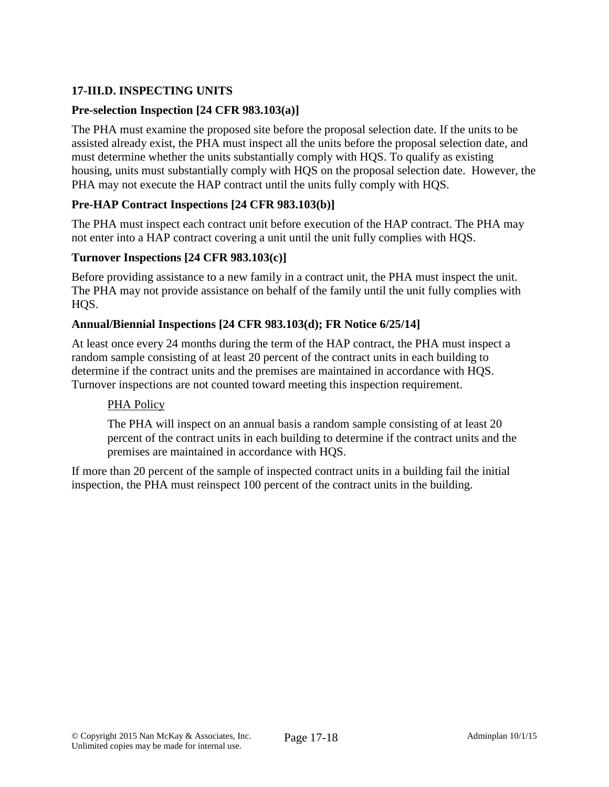# **17-III.D. INSPECTING UNITS**

# **Pre-selection Inspection [24 CFR 983.103(a)]**

The PHA must examine the proposed site before the proposal selection date. If the units to be assisted already exist, the PHA must inspect all the units before the proposal selection date, and must determine whether the units substantially comply with HQS. To qualify as existing housing, units must substantially comply with HQS on the proposal selection date. However, the PHA may not execute the HAP contract until the units fully comply with HQS.

# **Pre-HAP Contract Inspections [24 CFR 983.103(b)]**

The PHA must inspect each contract unit before execution of the HAP contract. The PHA may not enter into a HAP contract covering a unit until the unit fully complies with HQS.

#### **Turnover Inspections [24 CFR 983.103(c)]**

Before providing assistance to a new family in a contract unit, the PHA must inspect the unit. The PHA may not provide assistance on behalf of the family until the unit fully complies with HQS.

#### **Annual/Biennial Inspections [24 CFR 983.103(d); FR Notice 6/25/14]**

At least once every 24 months during the term of the HAP contract, the PHA must inspect a random sample consisting of at least 20 percent of the contract units in each building to determine if the contract units and the premises are maintained in accordance with HQS. Turnover inspections are not counted toward meeting this inspection requirement.

# PHA Policy

The PHA will inspect on an annual basis a random sample consisting of at least 20 percent of the contract units in each building to determine if the contract units and the premises are maintained in accordance with HQS.

If more than 20 percent of the sample of inspected contract units in a building fail the initial inspection, the PHA must reinspect 100 percent of the contract units in the building.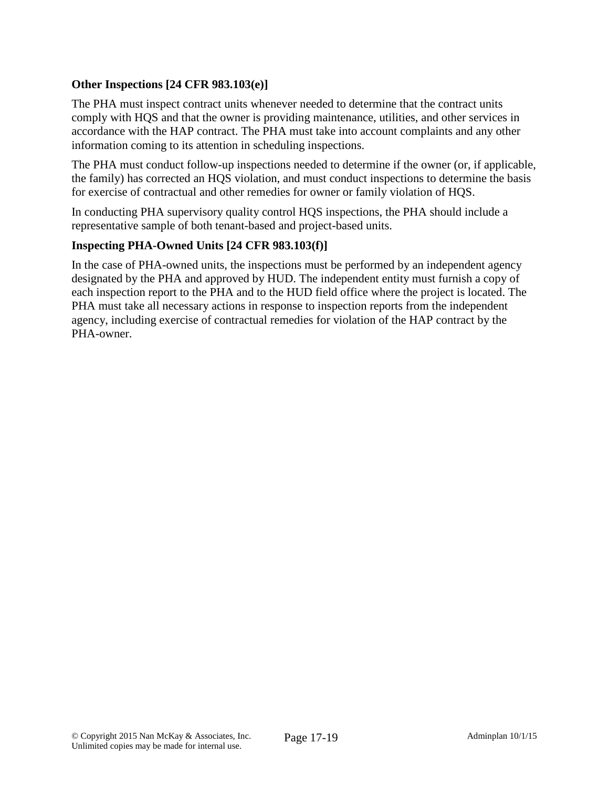# **Other Inspections [24 CFR 983.103(e)]**

The PHA must inspect contract units whenever needed to determine that the contract units comply with HQS and that the owner is providing maintenance, utilities, and other services in accordance with the HAP contract. The PHA must take into account complaints and any other information coming to its attention in scheduling inspections.

The PHA must conduct follow-up inspections needed to determine if the owner (or, if applicable, the family) has corrected an HQS violation, and must conduct inspections to determine the basis for exercise of contractual and other remedies for owner or family violation of HQS.

In conducting PHA supervisory quality control HQS inspections, the PHA should include a representative sample of both tenant-based and project-based units.

# **Inspecting PHA-Owned Units [24 CFR 983.103(f)]**

In the case of PHA-owned units, the inspections must be performed by an independent agency designated by the PHA and approved by HUD. The independent entity must furnish a copy of each inspection report to the PHA and to the HUD field office where the project is located. The PHA must take all necessary actions in response to inspection reports from the independent agency, including exercise of contractual remedies for violation of the HAP contract by the PHA-owner.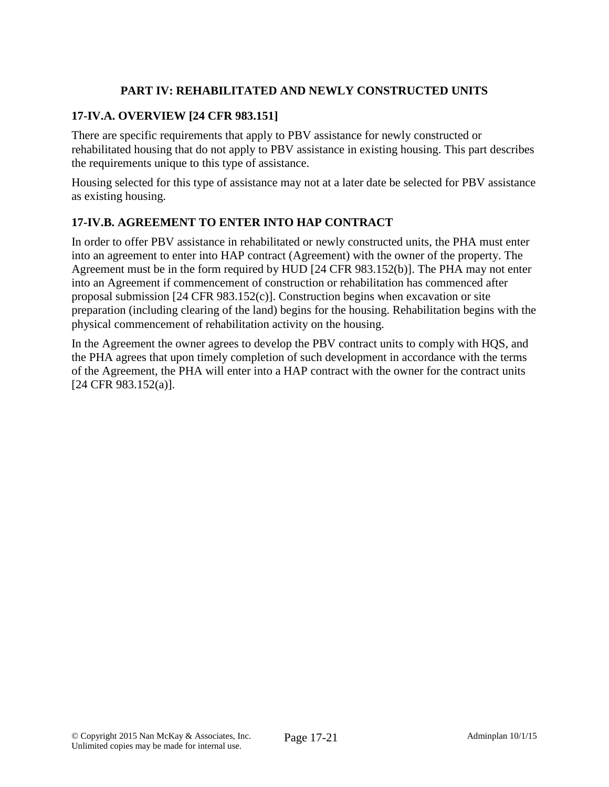# **PART IV: REHABILITATED AND NEWLY CONSTRUCTED UNITS**

# **17-IV.A. OVERVIEW [24 CFR 983.151]**

There are specific requirements that apply to PBV assistance for newly constructed or rehabilitated housing that do not apply to PBV assistance in existing housing. This part describes the requirements unique to this type of assistance.

Housing selected for this type of assistance may not at a later date be selected for PBV assistance as existing housing.

# **17-IV.B. AGREEMENT TO ENTER INTO HAP CONTRACT**

In order to offer PBV assistance in rehabilitated or newly constructed units, the PHA must enter into an agreement to enter into HAP contract (Agreement) with the owner of the property. The Agreement must be in the form required by HUD [24 CFR 983.152(b)]. The PHA may not enter into an Agreement if commencement of construction or rehabilitation has commenced after proposal submission [24 CFR 983.152(c)]. Construction begins when excavation or site preparation (including clearing of the land) begins for the housing. Rehabilitation begins with the physical commencement of rehabilitation activity on the housing.

In the Agreement the owner agrees to develop the PBV contract units to comply with HQS, and the PHA agrees that upon timely completion of such development in accordance with the terms of the Agreement, the PHA will enter into a HAP contract with the owner for the contract units [24 CFR 983.152(a)].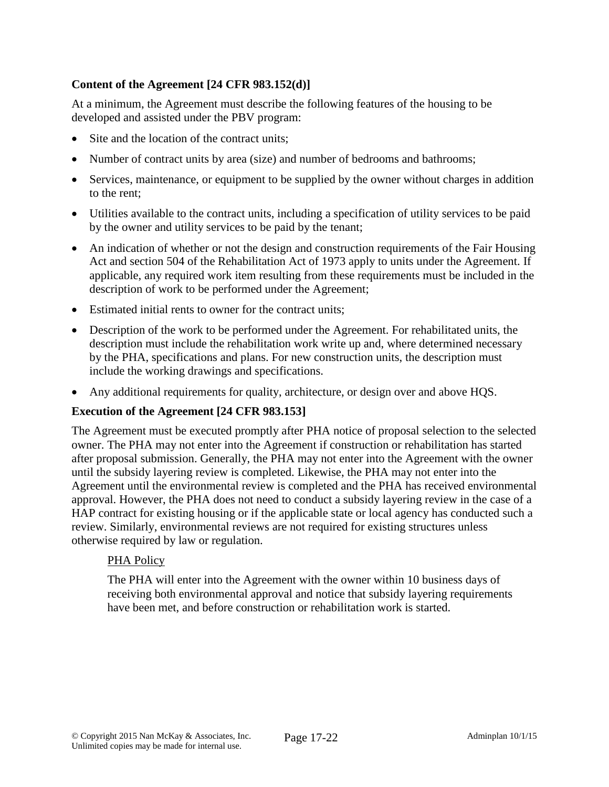# **Content of the Agreement [24 CFR 983.152(d)]**

At a minimum, the Agreement must describe the following features of the housing to be developed and assisted under the PBV program:

- Site and the location of the contract units:
- Number of contract units by area (size) and number of bedrooms and bathrooms;
- Services, maintenance, or equipment to be supplied by the owner without charges in addition to the rent;
- Utilities available to the contract units, including a specification of utility services to be paid by the owner and utility services to be paid by the tenant;
- An indication of whether or not the design and construction requirements of the Fair Housing Act and section 504 of the Rehabilitation Act of 1973 apply to units under the Agreement. If applicable, any required work item resulting from these requirements must be included in the description of work to be performed under the Agreement;
- Estimated initial rents to owner for the contract units;
- Description of the work to be performed under the Agreement. For rehabilitated units, the description must include the rehabilitation work write up and, where determined necessary by the PHA, specifications and plans. For new construction units, the description must include the working drawings and specifications.
- Any additional requirements for quality, architecture, or design over and above HQS.

# **Execution of the Agreement [24 CFR 983.153]**

The Agreement must be executed promptly after PHA notice of proposal selection to the selected owner. The PHA may not enter into the Agreement if construction or rehabilitation has started after proposal submission. Generally, the PHA may not enter into the Agreement with the owner until the subsidy layering review is completed. Likewise, the PHA may not enter into the Agreement until the environmental review is completed and the PHA has received environmental approval. However, the PHA does not need to conduct a subsidy layering review in the case of a HAP contract for existing housing or if the applicable state or local agency has conducted such a review. Similarly, environmental reviews are not required for existing structures unless otherwise required by law or regulation.

# PHA Policy

The PHA will enter into the Agreement with the owner within 10 business days of receiving both environmental approval and notice that subsidy layering requirements have been met, and before construction or rehabilitation work is started.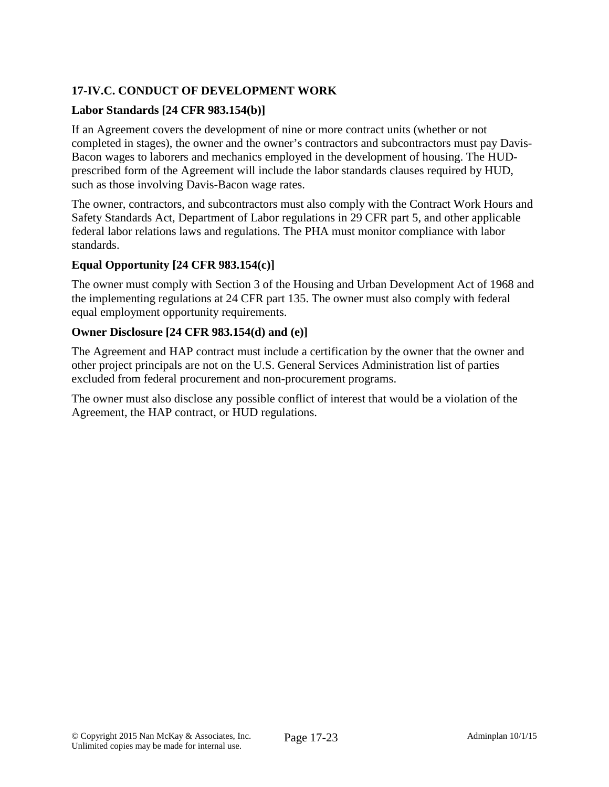# **17-IV.C. CONDUCT OF DEVELOPMENT WORK**

# **Labor Standards [24 CFR 983.154(b)]**

If an Agreement covers the development of nine or more contract units (whether or not completed in stages), the owner and the owner's contractors and subcontractors must pay Davis-Bacon wages to laborers and mechanics employed in the development of housing. The HUDprescribed form of the Agreement will include the labor standards clauses required by HUD, such as those involving Davis-Bacon wage rates.

The owner, contractors, and subcontractors must also comply with the Contract Work Hours and Safety Standards Act, Department of Labor regulations in 29 CFR part 5, and other applicable federal labor relations laws and regulations. The PHA must monitor compliance with labor standards.

# **Equal Opportunity [24 CFR 983.154(c)]**

The owner must comply with Section 3 of the Housing and Urban Development Act of 1968 and the implementing regulations at 24 CFR part 135. The owner must also comply with federal equal employment opportunity requirements.

# **Owner Disclosure [24 CFR 983.154(d) and (e)]**

The Agreement and HAP contract must include a certification by the owner that the owner and other project principals are not on the U.S. General Services Administration list of parties excluded from federal procurement and non-procurement programs.

The owner must also disclose any possible conflict of interest that would be a violation of the Agreement, the HAP contract, or HUD regulations.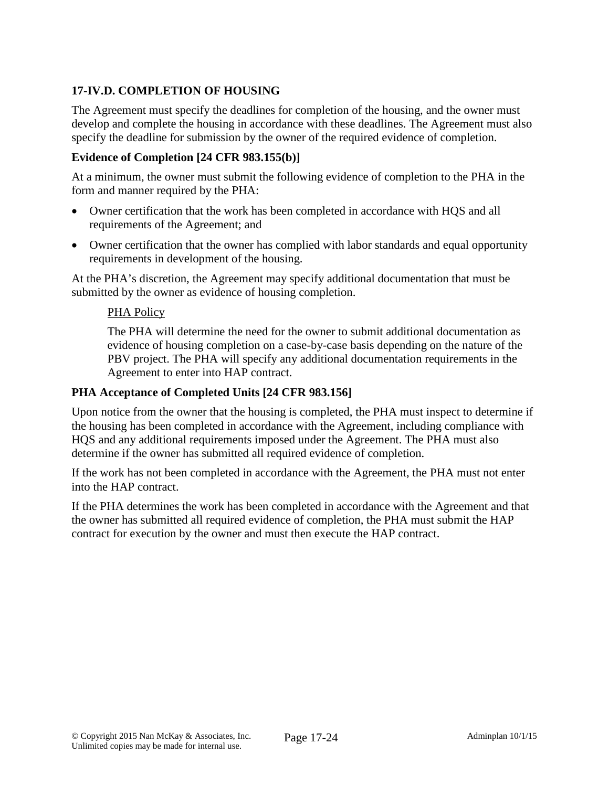# **17-IV.D. COMPLETION OF HOUSING**

The Agreement must specify the deadlines for completion of the housing, and the owner must develop and complete the housing in accordance with these deadlines. The Agreement must also specify the deadline for submission by the owner of the required evidence of completion.

# **Evidence of Completion [24 CFR 983.155(b)]**

At a minimum, the owner must submit the following evidence of completion to the PHA in the form and manner required by the PHA:

- Owner certification that the work has been completed in accordance with HQS and all requirements of the Agreement; and
- Owner certification that the owner has complied with labor standards and equal opportunity requirements in development of the housing.

At the PHA's discretion, the Agreement may specify additional documentation that must be submitted by the owner as evidence of housing completion.

#### PHA Policy

The PHA will determine the need for the owner to submit additional documentation as evidence of housing completion on a case-by-case basis depending on the nature of the PBV project. The PHA will specify any additional documentation requirements in the Agreement to enter into HAP contract.

#### **PHA Acceptance of Completed Units [24 CFR 983.156]**

Upon notice from the owner that the housing is completed, the PHA must inspect to determine if the housing has been completed in accordance with the Agreement, including compliance with HQS and any additional requirements imposed under the Agreement. The PHA must also determine if the owner has submitted all required evidence of completion.

If the work has not been completed in accordance with the Agreement, the PHA must not enter into the HAP contract.

If the PHA determines the work has been completed in accordance with the Agreement and that the owner has submitted all required evidence of completion, the PHA must submit the HAP contract for execution by the owner and must then execute the HAP contract.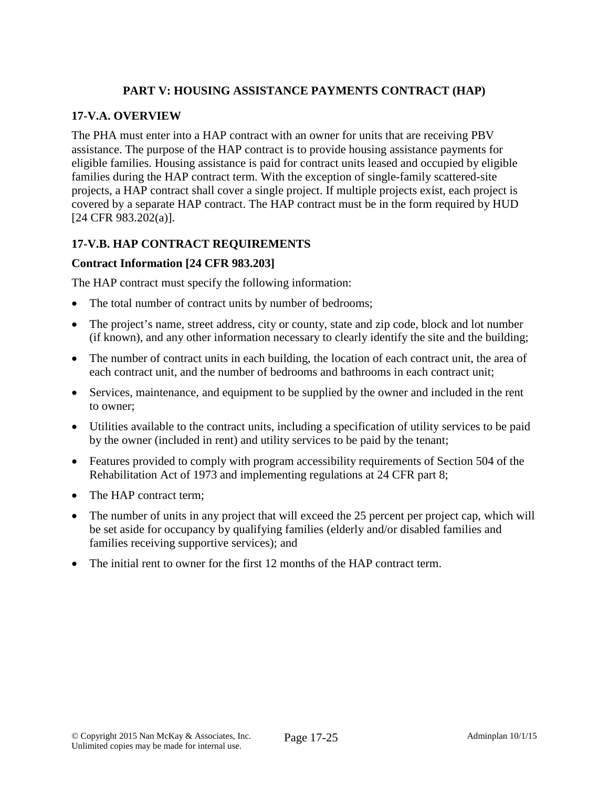# **PART V: HOUSING ASSISTANCE PAYMENTS CONTRACT (HAP)**

# **17-V.A. OVERVIEW**

The PHA must enter into a HAP contract with an owner for units that are receiving PBV assistance. The purpose of the HAP contract is to provide housing assistance payments for eligible families. Housing assistance is paid for contract units leased and occupied by eligible families during the HAP contract term. With the exception of single-family scattered-site projects, a HAP contract shall cover a single project. If multiple projects exist, each project is covered by a separate HAP contract. The HAP contract must be in the form required by HUD [24 CFR 983.202(a)].

# **17-V.B. HAP CONTRACT REQUIREMENTS**

#### **Contract Information [24 CFR 983.203]**

The HAP contract must specify the following information:

- The total number of contract units by number of bedrooms;
- The project's name, street address, city or county, state and zip code, block and lot number (if known), and any other information necessary to clearly identify the site and the building;
- The number of contract units in each building, the location of each contract unit, the area of each contract unit, and the number of bedrooms and bathrooms in each contract unit;
- Services, maintenance, and equipment to be supplied by the owner and included in the rent to owner;
- Utilities available to the contract units, including a specification of utility services to be paid by the owner (included in rent) and utility services to be paid by the tenant;
- Features provided to comply with program accessibility requirements of Section 504 of the Rehabilitation Act of 1973 and implementing regulations at 24 CFR part 8;
- The HAP contract term:
- The number of units in any project that will exceed the 25 percent per project cap, which will be set aside for occupancy by qualifying families (elderly and/or disabled families and families receiving supportive services); and
- The initial rent to owner for the first 12 months of the HAP contract term.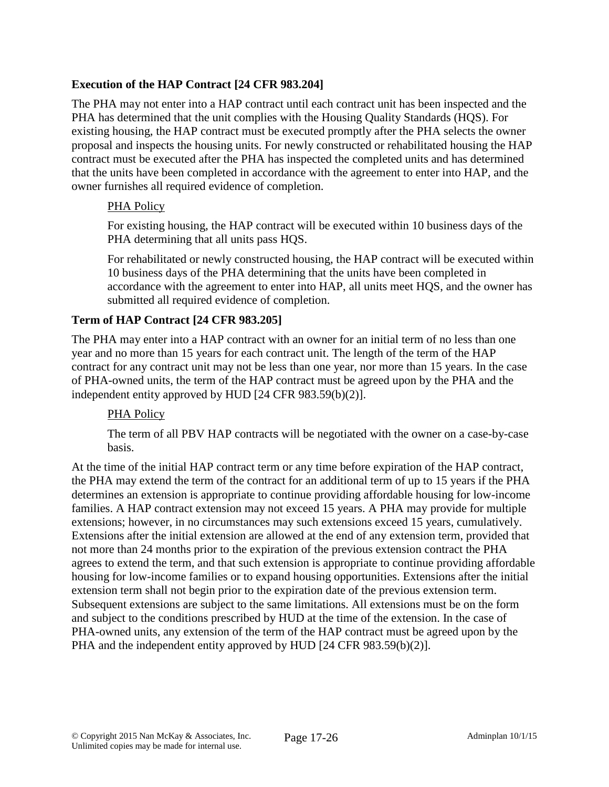# **Execution of the HAP Contract [24 CFR 983.204]**

The PHA may not enter into a HAP contract until each contract unit has been inspected and the PHA has determined that the unit complies with the Housing Quality Standards (HQS). For existing housing, the HAP contract must be executed promptly after the PHA selects the owner proposal and inspects the housing units. For newly constructed or rehabilitated housing the HAP contract must be executed after the PHA has inspected the completed units and has determined that the units have been completed in accordance with the agreement to enter into HAP, and the owner furnishes all required evidence of completion.

# PHA Policy

For existing housing, the HAP contract will be executed within 10 business days of the PHA determining that all units pass HQS.

For rehabilitated or newly constructed housing, the HAP contract will be executed within 10 business days of the PHA determining that the units have been completed in accordance with the agreement to enter into HAP, all units meet HQS, and the owner has submitted all required evidence of completion.

# **Term of HAP Contract [24 CFR 983.205]**

The PHA may enter into a HAP contract with an owner for an initial term of no less than one year and no more than 15 years for each contract unit. The length of the term of the HAP contract for any contract unit may not be less than one year, nor more than 15 years. In the case of PHA-owned units, the term of the HAP contract must be agreed upon by the PHA and the independent entity approved by HUD [24 CFR 983.59(b)(2)].

# PHA Policy

The term of all PBV HAP contracts will be negotiated with the owner on a case-by-case basis.

At the time of the initial HAP contract term or any time before expiration of the HAP contract, the PHA may extend the term of the contract for an additional term of up to 15 years if the PHA determines an extension is appropriate to continue providing affordable housing for low-income families. A HAP contract extension may not exceed 15 years. A PHA may provide for multiple extensions; however, in no circumstances may such extensions exceed 15 years, cumulatively. Extensions after the initial extension are allowed at the end of any extension term, provided that not more than 24 months prior to the expiration of the previous extension contract the PHA agrees to extend the term, and that such extension is appropriate to continue providing affordable housing for low-income families or to expand housing opportunities. Extensions after the initial extension term shall not begin prior to the expiration date of the previous extension term. Subsequent extensions are subject to the same limitations. All extensions must be on the form and subject to the conditions prescribed by HUD at the time of the extension. In the case of PHA-owned units, any extension of the term of the HAP contract must be agreed upon by the PHA and the independent entity approved by HUD [24 CFR 983.59(b)(2)].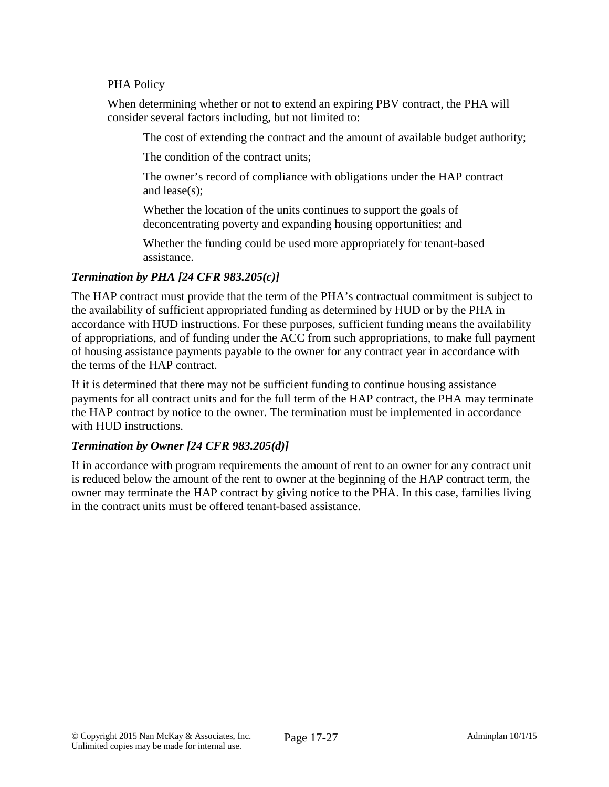#### PHA Policy

When determining whether or not to extend an expiring PBV contract, the PHA will consider several factors including, but not limited to:

The cost of extending the contract and the amount of available budget authority;

The condition of the contract units;

The owner's record of compliance with obligations under the HAP contract and lease(s);

Whether the location of the units continues to support the goals of deconcentrating poverty and expanding housing opportunities; and

Whether the funding could be used more appropriately for tenant-based assistance.

# *Termination by PHA [24 CFR 983.205(c)]*

The HAP contract must provide that the term of the PHA's contractual commitment is subject to the availability of sufficient appropriated funding as determined by HUD or by the PHA in accordance with HUD instructions. For these purposes, sufficient funding means the availability of appropriations, and of funding under the ACC from such appropriations, to make full payment of housing assistance payments payable to the owner for any contract year in accordance with the terms of the HAP contract.

If it is determined that there may not be sufficient funding to continue housing assistance payments for all contract units and for the full term of the HAP contract, the PHA may terminate the HAP contract by notice to the owner. The termination must be implemented in accordance with HUD instructions.

# *Termination by Owner [24 CFR 983.205(d)]*

If in accordance with program requirements the amount of rent to an owner for any contract unit is reduced below the amount of the rent to owner at the beginning of the HAP contract term, the owner may terminate the HAP contract by giving notice to the PHA. In this case, families living in the contract units must be offered tenant-based assistance.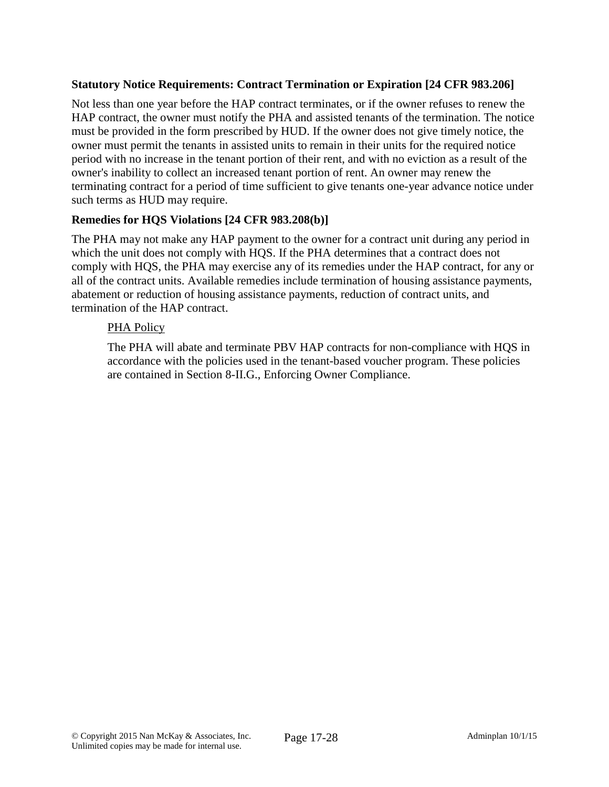# **Statutory Notice Requirements: Contract Termination or Expiration [24 CFR 983.206]**

Not less than one year before the HAP contract terminates, or if the owner refuses to renew the HAP contract, the owner must notify the PHA and assisted tenants of the termination. The notice must be provided in the form prescribed by HUD. If the owner does not give timely notice, the owner must permit the tenants in assisted units to remain in their units for the required notice period with no increase in the tenant portion of their rent, and with no eviction as a result of the owner's inability to collect an increased tenant portion of rent. An owner may renew the terminating contract for a period of time sufficient to give tenants one-year advance notice under such terms as HUD may require.

# **Remedies for HQS Violations [24 CFR 983.208(b)]**

The PHA may not make any HAP payment to the owner for a contract unit during any period in which the unit does not comply with HQS. If the PHA determines that a contract does not comply with HQS, the PHA may exercise any of its remedies under the HAP contract, for any or all of the contract units. Available remedies include termination of housing assistance payments, abatement or reduction of housing assistance payments, reduction of contract units, and termination of the HAP contract.

# PHA Policy

The PHA will abate and terminate PBV HAP contracts for non-compliance with HQS in accordance with the policies used in the tenant-based voucher program. These policies are contained in Section 8-II.G., Enforcing Owner Compliance.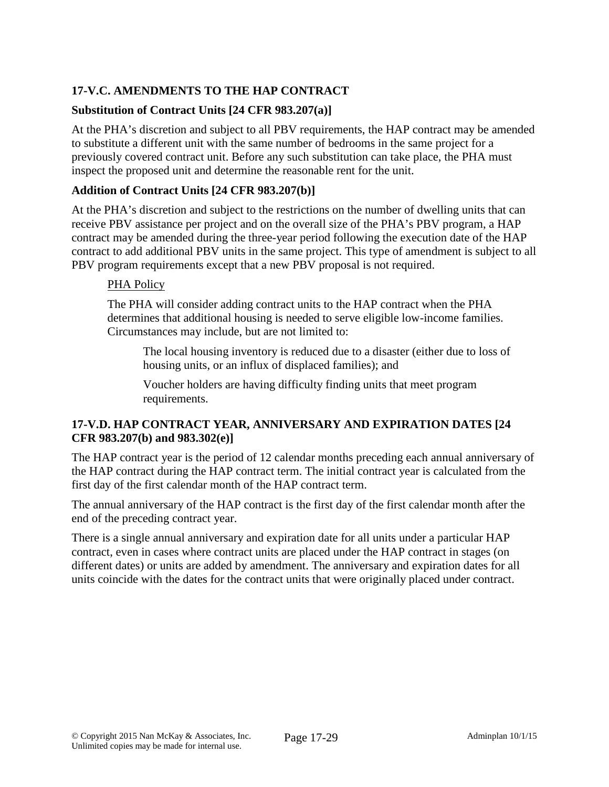# **17-V.C. AMENDMENTS TO THE HAP CONTRACT**

# **Substitution of Contract Units [24 CFR 983.207(a)]**

At the PHA's discretion and subject to all PBV requirements, the HAP contract may be amended to substitute a different unit with the same number of bedrooms in the same project for a previously covered contract unit. Before any such substitution can take place, the PHA must inspect the proposed unit and determine the reasonable rent for the unit.

# **Addition of Contract Units [24 CFR 983.207(b)]**

At the PHA's discretion and subject to the restrictions on the number of dwelling units that can receive PBV assistance per project and on the overall size of the PHA's PBV program, a HAP contract may be amended during the three-year period following the execution date of the HAP contract to add additional PBV units in the same project. This type of amendment is subject to all PBV program requirements except that a new PBV proposal is not required.

# PHA Policy

The PHA will consider adding contract units to the HAP contract when the PHA determines that additional housing is needed to serve eligible low-income families. Circumstances may include, but are not limited to:

The local housing inventory is reduced due to a disaster (either due to loss of housing units, or an influx of displaced families); and

Voucher holders are having difficulty finding units that meet program requirements.

# **17-V.D. HAP CONTRACT YEAR, ANNIVERSARY AND EXPIRATION DATES [24 CFR 983.207(b) and 983.302(e)]**

The HAP contract year is the period of 12 calendar months preceding each annual anniversary of the HAP contract during the HAP contract term. The initial contract year is calculated from the first day of the first calendar month of the HAP contract term.

The annual anniversary of the HAP contract is the first day of the first calendar month after the end of the preceding contract year.

There is a single annual anniversary and expiration date for all units under a particular HAP contract, even in cases where contract units are placed under the HAP contract in stages (on different dates) or units are added by amendment. The anniversary and expiration dates for all units coincide with the dates for the contract units that were originally placed under contract.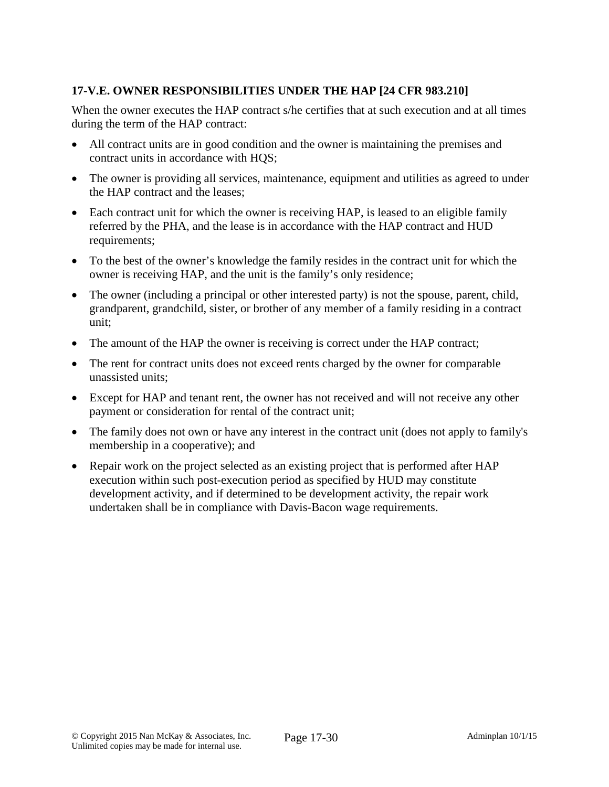# **17-V.E. OWNER RESPONSIBILITIES UNDER THE HAP [24 CFR 983.210]**

When the owner executes the HAP contract s/he certifies that at such execution and at all times during the term of the HAP contract:

- All contract units are in good condition and the owner is maintaining the premises and contract units in accordance with HQS;
- The owner is providing all services, maintenance, equipment and utilities as agreed to under the HAP contract and the leases;
- Each contract unit for which the owner is receiving HAP, is leased to an eligible family referred by the PHA, and the lease is in accordance with the HAP contract and HUD requirements;
- To the best of the owner's knowledge the family resides in the contract unit for which the owner is receiving HAP, and the unit is the family's only residence;
- The owner (including a principal or other interested party) is not the spouse, parent, child, grandparent, grandchild, sister, or brother of any member of a family residing in a contract unit;
- The amount of the HAP the owner is receiving is correct under the HAP contract;
- The rent for contract units does not exceed rents charged by the owner for comparable unassisted units;
- Except for HAP and tenant rent, the owner has not received and will not receive any other payment or consideration for rental of the contract unit;
- The family does not own or have any interest in the contract unit (does not apply to family's membership in a cooperative); and
- Repair work on the project selected as an existing project that is performed after HAP execution within such post-execution period as specified by HUD may constitute development activity, and if determined to be development activity, the repair work undertaken shall be in compliance with Davis-Bacon wage requirements.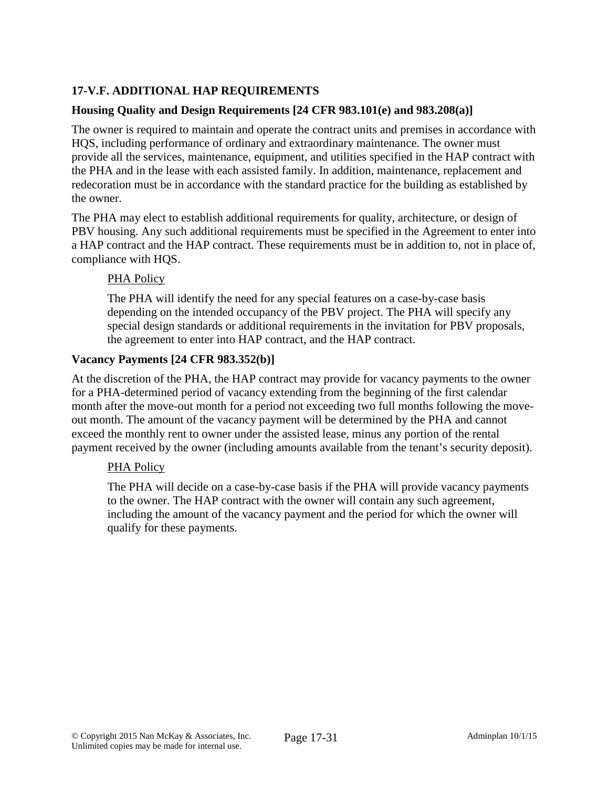# **17-V.F. ADDITIONAL HAP REQUIREMENTS**

# **Housing Quality and Design Requirements [24 CFR 983.101(e) and 983.208(a)]**

The owner is required to maintain and operate the contract units and premises in accordance with HQS, including performance of ordinary and extraordinary maintenance. The owner must provide all the services, maintenance, equipment, and utilities specified in the HAP contract with the PHA and in the lease with each assisted family. In addition, maintenance, replacement and redecoration must be in accordance with the standard practice for the building as established by the owner.

The PHA may elect to establish additional requirements for quality, architecture, or design of PBV housing. Any such additional requirements must be specified in the Agreement to enter into a HAP contract and the HAP contract. These requirements must be in addition to, not in place of, compliance with HQS.

#### PHA Policy

The PHA will identify the need for any special features on a case-by-case basis depending on the intended occupancy of the PBV project. The PHA will specify any special design standards or additional requirements in the invitation for PBV proposals, the agreement to enter into HAP contract, and the HAP contract.

#### **Vacancy Payments [24 CFR 983.352(b)]**

At the discretion of the PHA, the HAP contract may provide for vacancy payments to the owner for a PHA-determined period of vacancy extending from the beginning of the first calendar month after the move-out month for a period not exceeding two full months following the moveout month. The amount of the vacancy payment will be determined by the PHA and cannot exceed the monthly rent to owner under the assisted lease, minus any portion of the rental payment received by the owner (including amounts available from the tenant's security deposit).

# PHA Policy

The PHA will decide on a case-by-case basis if the PHA will provide vacancy payments to the owner. The HAP contract with the owner will contain any such agreement, including the amount of the vacancy payment and the period for which the owner will qualify for these payments.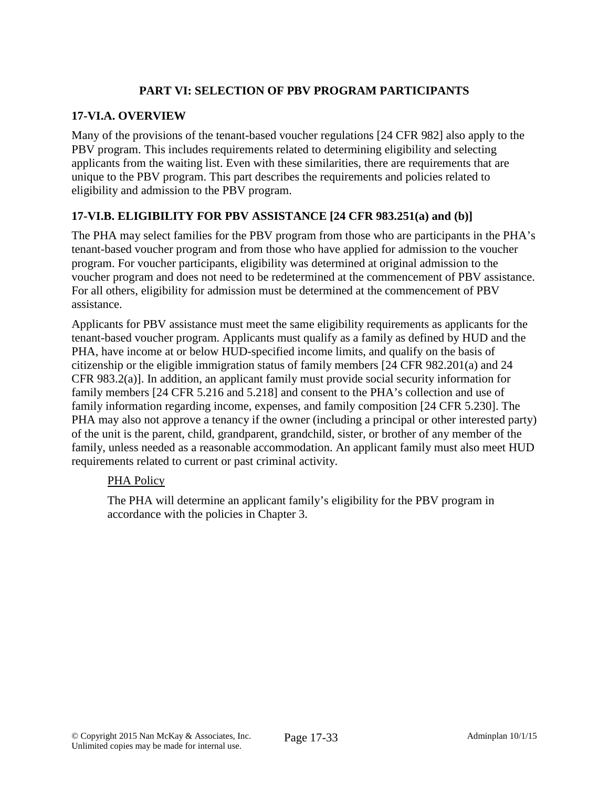# **PART VI: SELECTION OF PBV PROGRAM PARTICIPANTS**

# **17-VI.A. OVERVIEW**

Many of the provisions of the tenant-based voucher regulations [24 CFR 982] also apply to the PBV program. This includes requirements related to determining eligibility and selecting applicants from the waiting list. Even with these similarities, there are requirements that are unique to the PBV program. This part describes the requirements and policies related to eligibility and admission to the PBV program.

# **17-VI.B. ELIGIBILITY FOR PBV ASSISTANCE [24 CFR 983.251(a) and (b)]**

The PHA may select families for the PBV program from those who are participants in the PHA's tenant-based voucher program and from those who have applied for admission to the voucher program. For voucher participants, eligibility was determined at original admission to the voucher program and does not need to be redetermined at the commencement of PBV assistance. For all others, eligibility for admission must be determined at the commencement of PBV assistance.

Applicants for PBV assistance must meet the same eligibility requirements as applicants for the tenant-based voucher program. Applicants must qualify as a family as defined by HUD and the PHA, have income at or below HUD-specified income limits, and qualify on the basis of citizenship or the eligible immigration status of family members [24 CFR 982.201(a) and 24 CFR 983.2(a)]. In addition, an applicant family must provide social security information for family members [24 CFR 5.216 and 5.218] and consent to the PHA's collection and use of family information regarding income, expenses, and family composition [24 CFR 5.230]. The PHA may also not approve a tenancy if the owner (including a principal or other interested party) of the unit is the parent, child, grandparent, grandchild, sister, or brother of any member of the family, unless needed as a reasonable accommodation. An applicant family must also meet HUD requirements related to current or past criminal activity.

# PHA Policy

The PHA will determine an applicant family's eligibility for the PBV program in accordance with the policies in Chapter 3.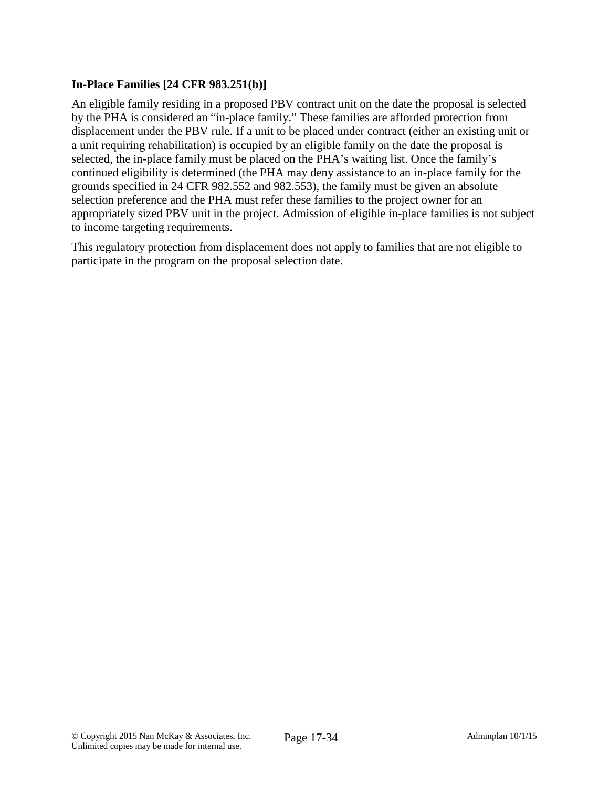# **In-Place Families [24 CFR 983.251(b)]**

An eligible family residing in a proposed PBV contract unit on the date the proposal is selected by the PHA is considered an "in-place family." These families are afforded protection from displacement under the PBV rule. If a unit to be placed under contract (either an existing unit or a unit requiring rehabilitation) is occupied by an eligible family on the date the proposal is selected, the in-place family must be placed on the PHA's waiting list. Once the family's continued eligibility is determined (the PHA may deny assistance to an in-place family for the grounds specified in 24 CFR 982.552 and 982.553), the family must be given an absolute selection preference and the PHA must refer these families to the project owner for an appropriately sized PBV unit in the project. Admission of eligible in-place families is not subject to income targeting requirements.

This regulatory protection from displacement does not apply to families that are not eligible to participate in the program on the proposal selection date.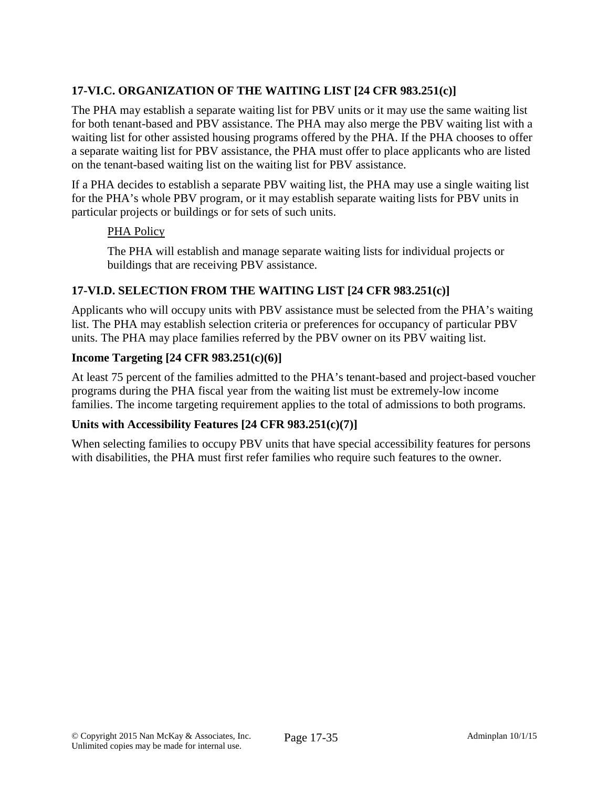# **17-VI.C. ORGANIZATION OF THE WAITING LIST [24 CFR 983.251(c)]**

The PHA may establish a separate waiting list for PBV units or it may use the same waiting list for both tenant-based and PBV assistance. The PHA may also merge the PBV waiting list with a waiting list for other assisted housing programs offered by the PHA. If the PHA chooses to offer a separate waiting list for PBV assistance, the PHA must offer to place applicants who are listed on the tenant-based waiting list on the waiting list for PBV assistance.

If a PHA decides to establish a separate PBV waiting list, the PHA may use a single waiting list for the PHA's whole PBV program, or it may establish separate waiting lists for PBV units in particular projects or buildings or for sets of such units.

#### PHA Policy

The PHA will establish and manage separate waiting lists for individual projects or buildings that are receiving PBV assistance.

#### **17-VI.D. SELECTION FROM THE WAITING LIST [24 CFR 983.251(c)]**

Applicants who will occupy units with PBV assistance must be selected from the PHA's waiting list. The PHA may establish selection criteria or preferences for occupancy of particular PBV units. The PHA may place families referred by the PBV owner on its PBV waiting list.

#### **Income Targeting [24 CFR 983.251(c)(6)]**

At least 75 percent of the families admitted to the PHA's tenant-based and project-based voucher programs during the PHA fiscal year from the waiting list must be extremely-low income families. The income targeting requirement applies to the total of admissions to both programs.

# **Units with Accessibility Features [24 CFR 983.251(c)(7)]**

When selecting families to occupy PBV units that have special accessibility features for persons with disabilities, the PHA must first refer families who require such features to the owner.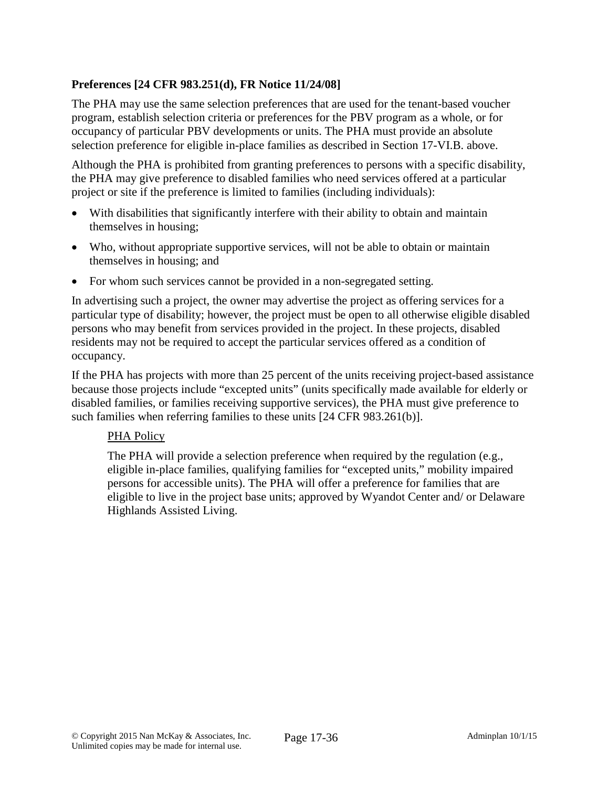# **Preferences [24 CFR 983.251(d), FR Notice 11/24/08]**

The PHA may use the same selection preferences that are used for the tenant-based voucher program, establish selection criteria or preferences for the PBV program as a whole, or for occupancy of particular PBV developments or units. The PHA must provide an absolute selection preference for eligible in-place families as described in Section 17-VI.B. above.

Although the PHA is prohibited from granting preferences to persons with a specific disability, the PHA may give preference to disabled families who need services offered at a particular project or site if the preference is limited to families (including individuals):

- With disabilities that significantly interfere with their ability to obtain and maintain themselves in housing;
- Who, without appropriate supportive services, will not be able to obtain or maintain themselves in housing; and
- For whom such services cannot be provided in a non-segregated setting.

In advertising such a project, the owner may advertise the project as offering services for a particular type of disability; however, the project must be open to all otherwise eligible disabled persons who may benefit from services provided in the project. In these projects, disabled residents may not be required to accept the particular services offered as a condition of occupancy.

If the PHA has projects with more than 25 percent of the units receiving project-based assistance because those projects include "excepted units" (units specifically made available for elderly or disabled families, or families receiving supportive services), the PHA must give preference to such families when referring families to these units [24 CFR 983.261(b)].

# PHA Policy

The PHA will provide a selection preference when required by the regulation (e.g., eligible in-place families, qualifying families for "excepted units," mobility impaired persons for accessible units). The PHA will offer a preference for families that are eligible to live in the project base units; approved by Wyandot Center and/ or Delaware Highlands Assisted Living.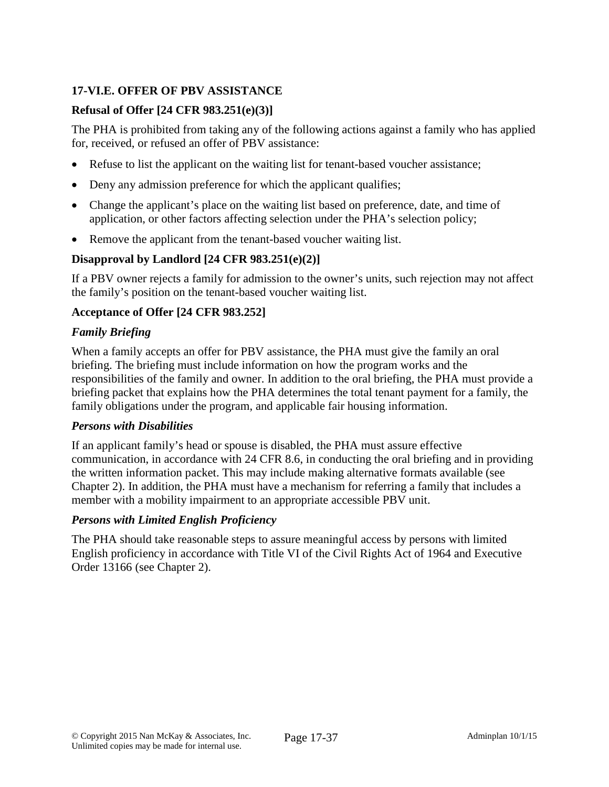# **17-VI.E. OFFER OF PBV ASSISTANCE**

# **Refusal of Offer [24 CFR 983.251(e)(3)]**

The PHA is prohibited from taking any of the following actions against a family who has applied for, received, or refused an offer of PBV assistance:

- Refuse to list the applicant on the waiting list for tenant-based voucher assistance;
- Deny any admission preference for which the applicant qualifies;
- Change the applicant's place on the waiting list based on preference, date, and time of application, or other factors affecting selection under the PHA's selection policy;
- Remove the applicant from the tenant-based voucher waiting list.

# **Disapproval by Landlord [24 CFR 983.251(e)(2)]**

If a PBV owner rejects a family for admission to the owner's units, such rejection may not affect the family's position on the tenant-based voucher waiting list.

# **Acceptance of Offer [24 CFR 983.252]**

# *Family Briefing*

When a family accepts an offer for PBV assistance, the PHA must give the family an oral briefing. The briefing must include information on how the program works and the responsibilities of the family and owner. In addition to the oral briefing, the PHA must provide a briefing packet that explains how the PHA determines the total tenant payment for a family, the family obligations under the program, and applicable fair housing information.

# *Persons with Disabilities*

If an applicant family's head or spouse is disabled, the PHA must assure effective communication, in accordance with 24 CFR 8.6, in conducting the oral briefing and in providing the written information packet. This may include making alternative formats available (see Chapter 2). In addition, the PHA must have a mechanism for referring a family that includes a member with a mobility impairment to an appropriate accessible PBV unit.

# *Persons with Limited English Proficiency*

The PHA should take reasonable steps to assure meaningful access by persons with limited English proficiency in accordance with Title VI of the Civil Rights Act of 1964 and Executive Order 13166 (see Chapter 2).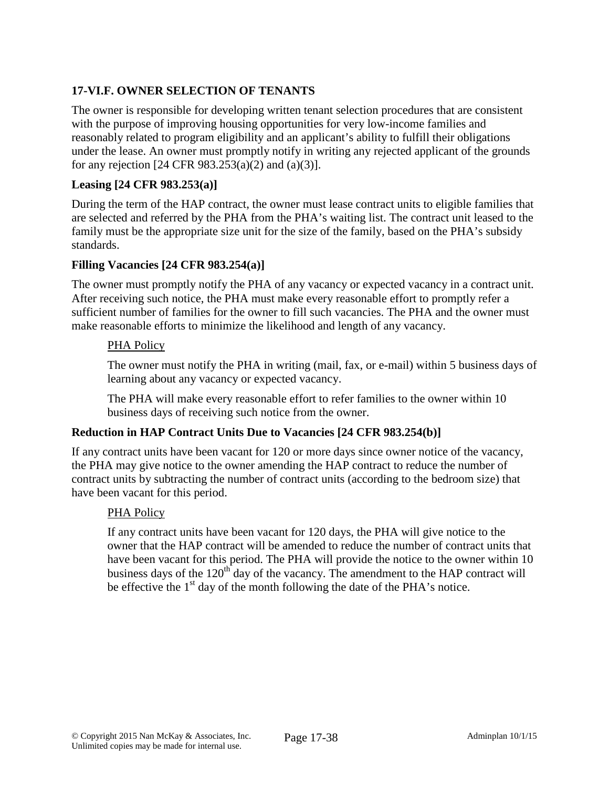# **17-VI.F. OWNER SELECTION OF TENANTS**

The owner is responsible for developing written tenant selection procedures that are consistent with the purpose of improving housing opportunities for very low-income families and reasonably related to program eligibility and an applicant's ability to fulfill their obligations under the lease. An owner must promptly notify in writing any rejected applicant of the grounds for any rejection [24 CFR 983.253(a)(2) and (a)(3)].

# **Leasing [24 CFR 983.253(a)]**

During the term of the HAP contract, the owner must lease contract units to eligible families that are selected and referred by the PHA from the PHA's waiting list. The contract unit leased to the family must be the appropriate size unit for the size of the family, based on the PHA's subsidy standards.

# **Filling Vacancies [24 CFR 983.254(a)]**

The owner must promptly notify the PHA of any vacancy or expected vacancy in a contract unit. After receiving such notice, the PHA must make every reasonable effort to promptly refer a sufficient number of families for the owner to fill such vacancies. The PHA and the owner must make reasonable efforts to minimize the likelihood and length of any vacancy.

# PHA Policy

The owner must notify the PHA in writing (mail, fax, or e-mail) within 5 business days of learning about any vacancy or expected vacancy.

The PHA will make every reasonable effort to refer families to the owner within 10 business days of receiving such notice from the owner.

# **Reduction in HAP Contract Units Due to Vacancies [24 CFR 983.254(b)]**

If any contract units have been vacant for 120 or more days since owner notice of the vacancy, the PHA may give notice to the owner amending the HAP contract to reduce the number of contract units by subtracting the number of contract units (according to the bedroom size) that have been vacant for this period.

# PHA Policy

If any contract units have been vacant for 120 days, the PHA will give notice to the owner that the HAP contract will be amended to reduce the number of contract units that have been vacant for this period. The PHA will provide the notice to the owner within 10 business days of the 120<sup>th</sup> day of the vacancy. The amendment to the HAP contract will be effective the  $1<sup>st</sup>$  day of the month following the date of the PHA's notice.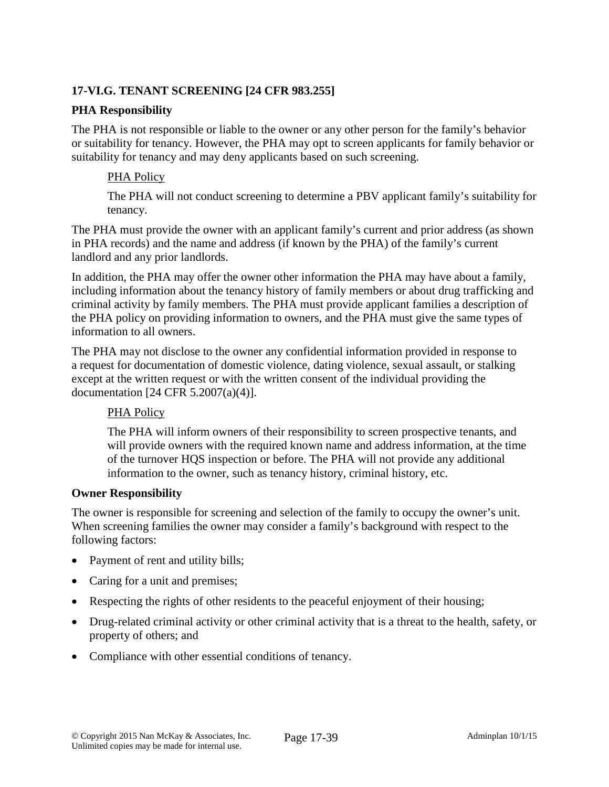# **17-VI.G. TENANT SCREENING [24 CFR 983.255]**

#### **PHA Responsibility**

The PHA is not responsible or liable to the owner or any other person for the family's behavior or suitability for tenancy. However, the PHA may opt to screen applicants for family behavior or suitability for tenancy and may deny applicants based on such screening.

#### PHA Policy

The PHA will not conduct screening to determine a PBV applicant family's suitability for tenancy.

The PHA must provide the owner with an applicant family's current and prior address (as shown in PHA records) and the name and address (if known by the PHA) of the family's current landlord and any prior landlords.

In addition, the PHA may offer the owner other information the PHA may have about a family, including information about the tenancy history of family members or about drug trafficking and criminal activity by family members. The PHA must provide applicant families a description of the PHA policy on providing information to owners, and the PHA must give the same types of information to all owners.

The PHA may not disclose to the owner any confidential information provided in response to a request for documentation of domestic violence, dating violence, sexual assault, or stalking except at the written request or with the written consent of the individual providing the documentation [24 CFR 5.2007(a)(4)].

# PHA Policy

The PHA will inform owners of their responsibility to screen prospective tenants, and will provide owners with the required known name and address information, at the time of the turnover HQS inspection or before. The PHA will not provide any additional information to the owner, such as tenancy history, criminal history, etc.

#### **Owner Responsibility**

The owner is responsible for screening and selection of the family to occupy the owner's unit. When screening families the owner may consider a family's background with respect to the following factors:

- Payment of rent and utility bills;
- Caring for a unit and premises;
- Respecting the rights of other residents to the peaceful enjoyment of their housing;
- Drug-related criminal activity or other criminal activity that is a threat to the health, safety, or property of others; and
- Compliance with other essential conditions of tenancy.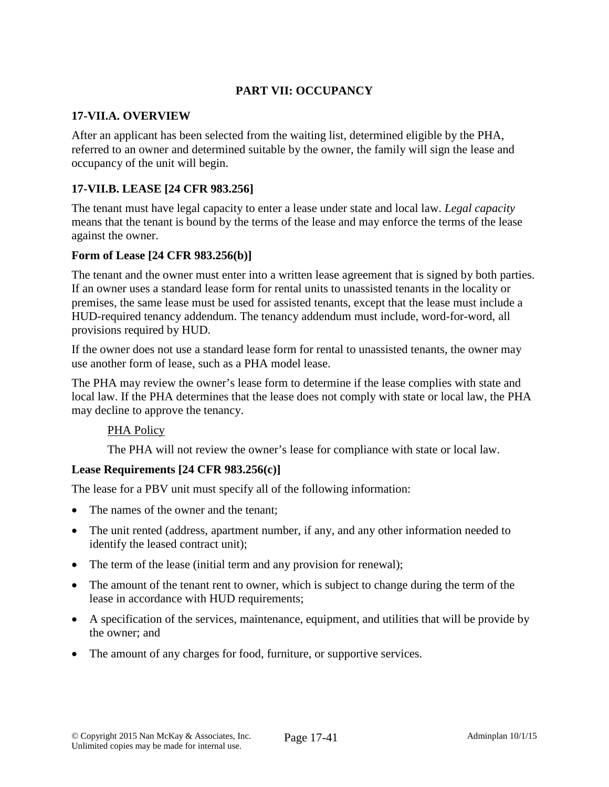# **PART VII: OCCUPANCY**

#### **17-VII.A. OVERVIEW**

After an applicant has been selected from the waiting list, determined eligible by the PHA, referred to an owner and determined suitable by the owner, the family will sign the lease and occupancy of the unit will begin.

# **17-VII.B. LEASE [24 CFR 983.256]**

The tenant must have legal capacity to enter a lease under state and local law. *Legal capacity* means that the tenant is bound by the terms of the lease and may enforce the terms of the lease against the owner.

#### **Form of Lease [24 CFR 983.256(b)]**

The tenant and the owner must enter into a written lease agreement that is signed by both parties. If an owner uses a standard lease form for rental units to unassisted tenants in the locality or premises, the same lease must be used for assisted tenants, except that the lease must include a HUD-required tenancy addendum. The tenancy addendum must include, word-for-word, all provisions required by HUD.

If the owner does not use a standard lease form for rental to unassisted tenants, the owner may use another form of lease, such as a PHA model lease.

The PHA may review the owner's lease form to determine if the lease complies with state and local law. If the PHA determines that the lease does not comply with state or local law, the PHA may decline to approve the tenancy.

#### PHA Policy

The PHA will not review the owner's lease for compliance with state or local law.

# **Lease Requirements [24 CFR 983.256(c)]**

The lease for a PBV unit must specify all of the following information:

- The names of the owner and the tenant;
- The unit rented (address, apartment number, if any, and any other information needed to identify the leased contract unit);
- The term of the lease (initial term and any provision for renewal);
- The amount of the tenant rent to owner, which is subject to change during the term of the lease in accordance with HUD requirements;
- A specification of the services, maintenance, equipment, and utilities that will be provide by the owner; and
- The amount of any charges for food, furniture, or supportive services.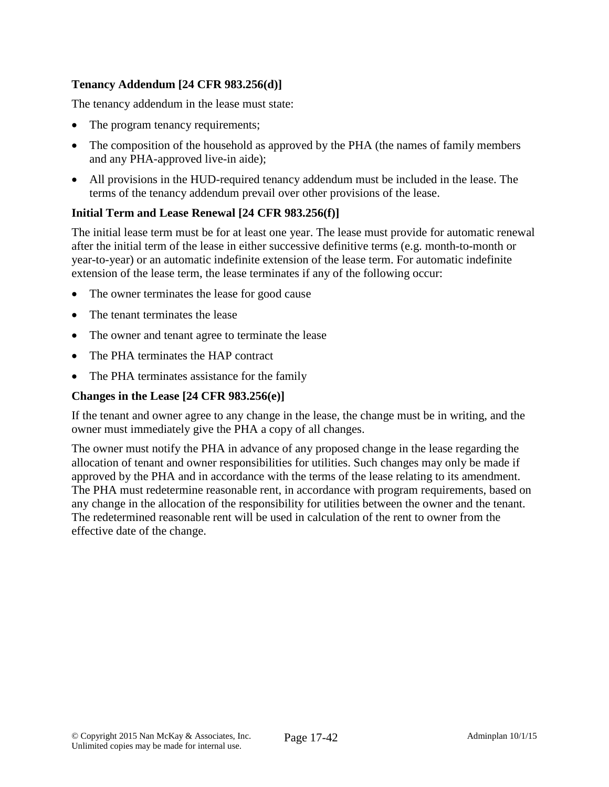# **Tenancy Addendum [24 CFR 983.256(d)]**

The tenancy addendum in the lease must state:

- The program tenancy requirements;
- The composition of the household as approved by the PHA (the names of family members and any PHA-approved live-in aide);
- All provisions in the HUD-required tenancy addendum must be included in the lease. The terms of the tenancy addendum prevail over other provisions of the lease.

# **Initial Term and Lease Renewal [24 CFR 983.256(f)]**

The initial lease term must be for at least one year. The lease must provide for automatic renewal after the initial term of the lease in either successive definitive terms (e.g. month-to-month or year-to-year) or an automatic indefinite extension of the lease term. For automatic indefinite extension of the lease term, the lease terminates if any of the following occur:

- The owner terminates the lease for good cause
- The tenant terminates the lease
- The owner and tenant agree to terminate the lease
- The PHA terminates the HAP contract
- The PHA terminates assistance for the family

### **Changes in the Lease [24 CFR 983.256(e)]**

If the tenant and owner agree to any change in the lease, the change must be in writing, and the owner must immediately give the PHA a copy of all changes.

The owner must notify the PHA in advance of any proposed change in the lease regarding the allocation of tenant and owner responsibilities for utilities. Such changes may only be made if approved by the PHA and in accordance with the terms of the lease relating to its amendment. The PHA must redetermine reasonable rent, in accordance with program requirements, based on any change in the allocation of the responsibility for utilities between the owner and the tenant. The redetermined reasonable rent will be used in calculation of the rent to owner from the effective date of the change.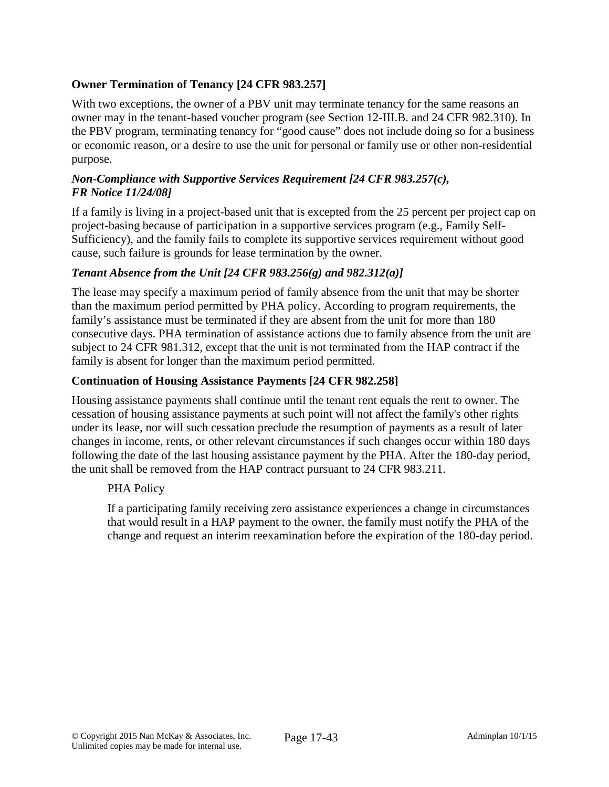# **Owner Termination of Tenancy [24 CFR 983.257]**

With two exceptions, the owner of a PBV unit may terminate tenancy for the same reasons an owner may in the tenant-based voucher program (see Section 12-III.B. and 24 CFR 982.310). In the PBV program, terminating tenancy for "good cause" does not include doing so for a business or economic reason, or a desire to use the unit for personal or family use or other non-residential purpose.

### *Non-Compliance with Supportive Services Requirement [24 CFR 983.257(c), FR Notice 11/24/08]*

If a family is living in a project-based unit that is excepted from the 25 percent per project cap on project-basing because of participation in a supportive services program (e.g., Family Self-Sufficiency), and the family fails to complete its supportive services requirement without good cause, such failure is grounds for lease termination by the owner.

# *Tenant Absence from the Unit [24 CFR 983.256(g) and 982.312(a)]*

The lease may specify a maximum period of family absence from the unit that may be shorter than the maximum period permitted by PHA policy. According to program requirements, the family's assistance must be terminated if they are absent from the unit for more than 180 consecutive days. PHA termination of assistance actions due to family absence from the unit are subject to 24 CFR 981.312, except that the unit is not terminated from the HAP contract if the family is absent for longer than the maximum period permitted.

# **Continuation of Housing Assistance Payments [24 CFR 982.258]**

Housing assistance payments shall continue until the tenant rent equals the rent to owner. The cessation of housing assistance payments at such point will not affect the family's other rights under its lease, nor will such cessation preclude the resumption of payments as a result of later changes in income, rents, or other relevant circumstances if such changes occur within 180 days following the date of the last housing assistance payment by the PHA. After the 180-day period, the unit shall be removed from the HAP contract pursuant to 24 CFR 983.211.

#### PHA Policy

If a participating family receiving zero assistance experiences a change in circumstances that would result in a HAP payment to the owner, the family must notify the PHA of the change and request an interim reexamination before the expiration of the 180-day period.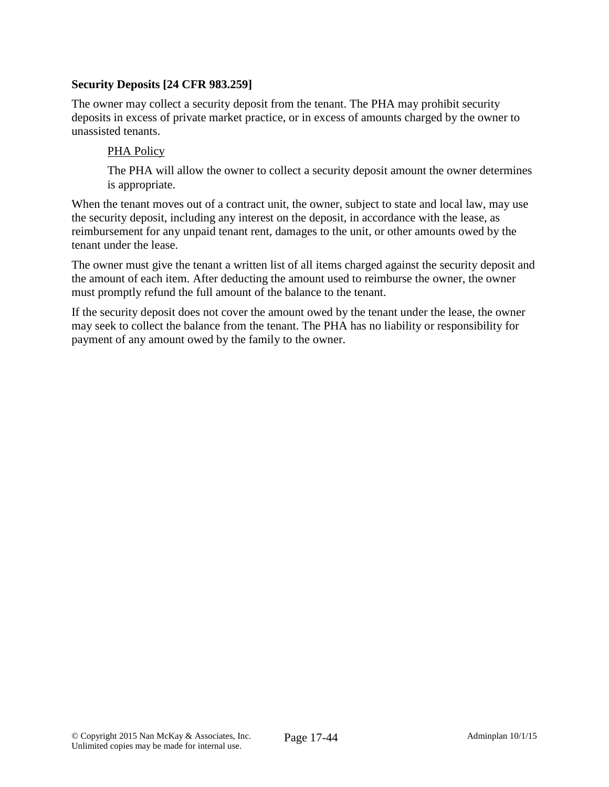# **Security Deposits [24 CFR 983.259]**

The owner may collect a security deposit from the tenant. The PHA may prohibit security deposits in excess of private market practice, or in excess of amounts charged by the owner to unassisted tenants.

#### PHA Policy

The PHA will allow the owner to collect a security deposit amount the owner determines is appropriate.

When the tenant moves out of a contract unit, the owner, subject to state and local law, may use the security deposit, including any interest on the deposit, in accordance with the lease, as reimbursement for any unpaid tenant rent, damages to the unit, or other amounts owed by the tenant under the lease.

The owner must give the tenant a written list of all items charged against the security deposit and the amount of each item. After deducting the amount used to reimburse the owner, the owner must promptly refund the full amount of the balance to the tenant.

If the security deposit does not cover the amount owed by the tenant under the lease, the owner may seek to collect the balance from the tenant. The PHA has no liability or responsibility for payment of any amount owed by the family to the owner.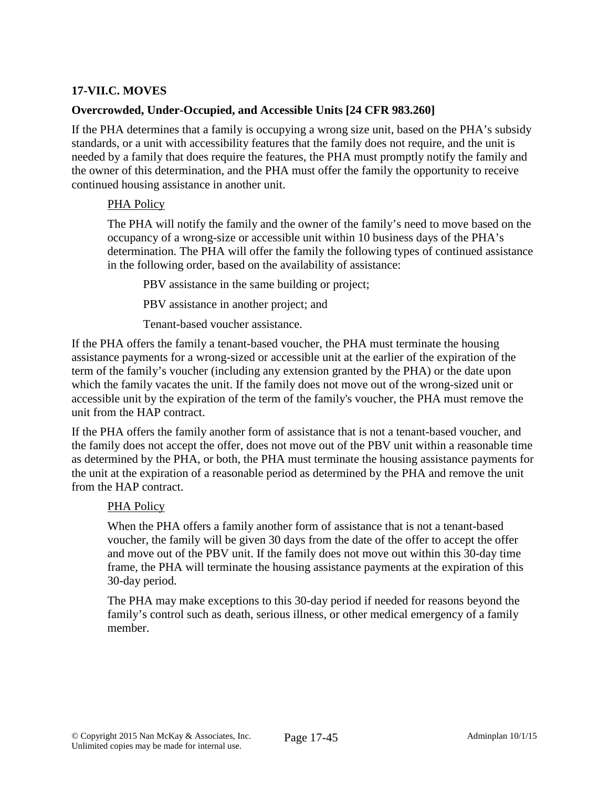# **17-VII.C. MOVES**

# **Overcrowded, Under-Occupied, and Accessible Units [24 CFR 983.260]**

If the PHA determines that a family is occupying a wrong size unit, based on the PHA's subsidy standards, or a unit with accessibility features that the family does not require, and the unit is needed by a family that does require the features, the PHA must promptly notify the family and the owner of this determination, and the PHA must offer the family the opportunity to receive continued housing assistance in another unit.

#### PHA Policy

The PHA will notify the family and the owner of the family's need to move based on the occupancy of a wrong-size or accessible unit within 10 business days of the PHA's determination. The PHA will offer the family the following types of continued assistance in the following order, based on the availability of assistance:

PBV assistance in the same building or project;

PBV assistance in another project; and

Tenant-based voucher assistance.

If the PHA offers the family a tenant-based voucher, the PHA must terminate the housing assistance payments for a wrong-sized or accessible unit at the earlier of the expiration of the term of the family's voucher (including any extension granted by the PHA) or the date upon which the family vacates the unit. If the family does not move out of the wrong-sized unit or accessible unit by the expiration of the term of the family's voucher, the PHA must remove the unit from the HAP contract.

If the PHA offers the family another form of assistance that is not a tenant-based voucher, and the family does not accept the offer, does not move out of the PBV unit within a reasonable time as determined by the PHA, or both, the PHA must terminate the housing assistance payments for the unit at the expiration of a reasonable period as determined by the PHA and remove the unit from the HAP contract.

# PHA Policy

When the PHA offers a family another form of assistance that is not a tenant-based voucher, the family will be given 30 days from the date of the offer to accept the offer and move out of the PBV unit. If the family does not move out within this 30-day time frame, the PHA will terminate the housing assistance payments at the expiration of this 30-day period.

The PHA may make exceptions to this 30-day period if needed for reasons beyond the family's control such as death, serious illness, or other medical emergency of a family member.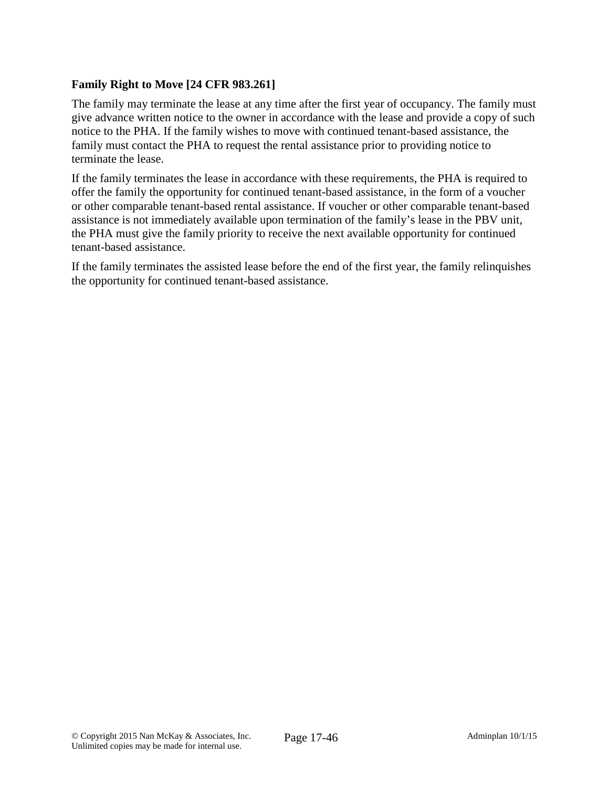# **Family Right to Move [24 CFR 983.261]**

The family may terminate the lease at any time after the first year of occupancy. The family must give advance written notice to the owner in accordance with the lease and provide a copy of such notice to the PHA. If the family wishes to move with continued tenant-based assistance, the family must contact the PHA to request the rental assistance prior to providing notice to terminate the lease.

If the family terminates the lease in accordance with these requirements, the PHA is required to offer the family the opportunity for continued tenant-based assistance, in the form of a voucher or other comparable tenant-based rental assistance. If voucher or other comparable tenant-based assistance is not immediately available upon termination of the family's lease in the PBV unit, the PHA must give the family priority to receive the next available opportunity for continued tenant-based assistance.

If the family terminates the assisted lease before the end of the first year, the family relinquishes the opportunity for continued tenant-based assistance.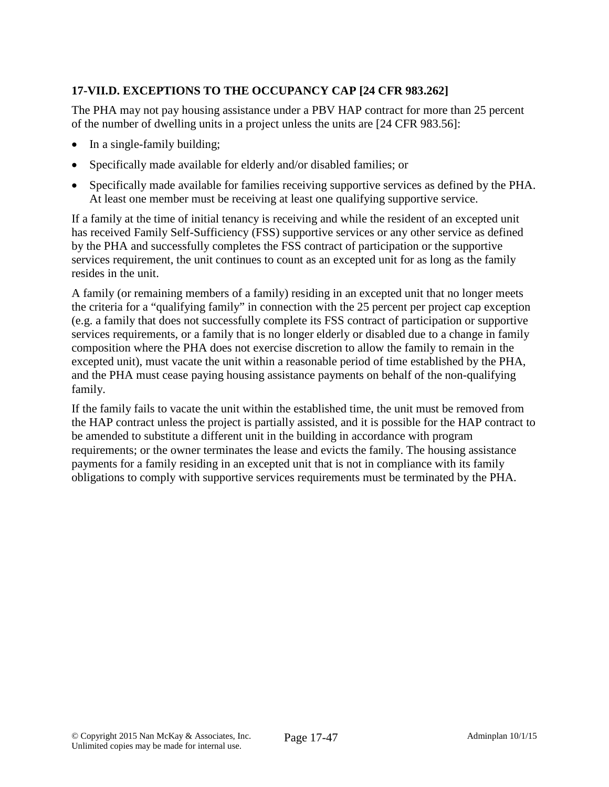# **17-VII.D. EXCEPTIONS TO THE OCCUPANCY CAP [24 CFR 983.262]**

The PHA may not pay housing assistance under a PBV HAP contract for more than 25 percent of the number of dwelling units in a project unless the units are [24 CFR 983.56]:

- In a single-family building;
- Specifically made available for elderly and/or disabled families; or
- Specifically made available for families receiving supportive services as defined by the PHA. At least one member must be receiving at least one qualifying supportive service.

If a family at the time of initial tenancy is receiving and while the resident of an excepted unit has received Family Self-Sufficiency (FSS) supportive services or any other service as defined by the PHA and successfully completes the FSS contract of participation or the supportive services requirement, the unit continues to count as an excepted unit for as long as the family resides in the unit.

A family (or remaining members of a family) residing in an excepted unit that no longer meets the criteria for a "qualifying family" in connection with the 25 percent per project cap exception (e.g. a family that does not successfully complete its FSS contract of participation or supportive services requirements, or a family that is no longer elderly or disabled due to a change in family composition where the PHA does not exercise discretion to allow the family to remain in the excepted unit), must vacate the unit within a reasonable period of time established by the PHA, and the PHA must cease paying housing assistance payments on behalf of the non-qualifying family.

If the family fails to vacate the unit within the established time, the unit must be removed from the HAP contract unless the project is partially assisted, and it is possible for the HAP contract to be amended to substitute a different unit in the building in accordance with program requirements; or the owner terminates the lease and evicts the family. The housing assistance payments for a family residing in an excepted unit that is not in compliance with its family obligations to comply with supportive services requirements must be terminated by the PHA.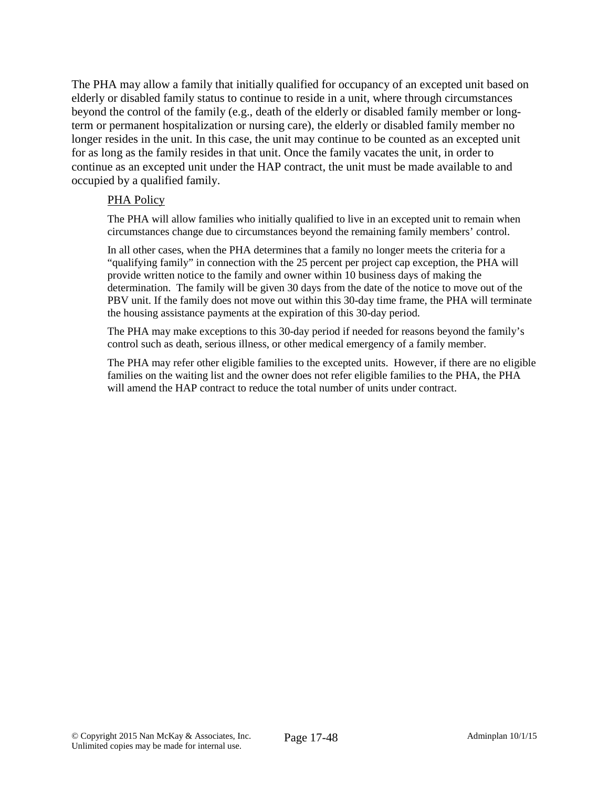The PHA may allow a family that initially qualified for occupancy of an excepted unit based on elderly or disabled family status to continue to reside in a unit, where through circumstances beyond the control of the family (e.g., death of the elderly or disabled family member or longterm or permanent hospitalization or nursing care), the elderly or disabled family member no longer resides in the unit. In this case, the unit may continue to be counted as an excepted unit for as long as the family resides in that unit. Once the family vacates the unit, in order to continue as an excepted unit under the HAP contract, the unit must be made available to and occupied by a qualified family.

#### PHA Policy

The PHA will allow families who initially qualified to live in an excepted unit to remain when circumstances change due to circumstances beyond the remaining family members' control.

In all other cases, when the PHA determines that a family no longer meets the criteria for a "qualifying family" in connection with the 25 percent per project cap exception, the PHA will provide written notice to the family and owner within 10 business days of making the determination. The family will be given 30 days from the date of the notice to move out of the PBV unit. If the family does not move out within this 30-day time frame, the PHA will terminate the housing assistance payments at the expiration of this 30-day period.

The PHA may make exceptions to this 30-day period if needed for reasons beyond the family's control such as death, serious illness, or other medical emergency of a family member.

The PHA may refer other eligible families to the excepted units. However, if there are no eligible families on the waiting list and the owner does not refer eligible families to the PHA, the PHA will amend the HAP contract to reduce the total number of units under contract.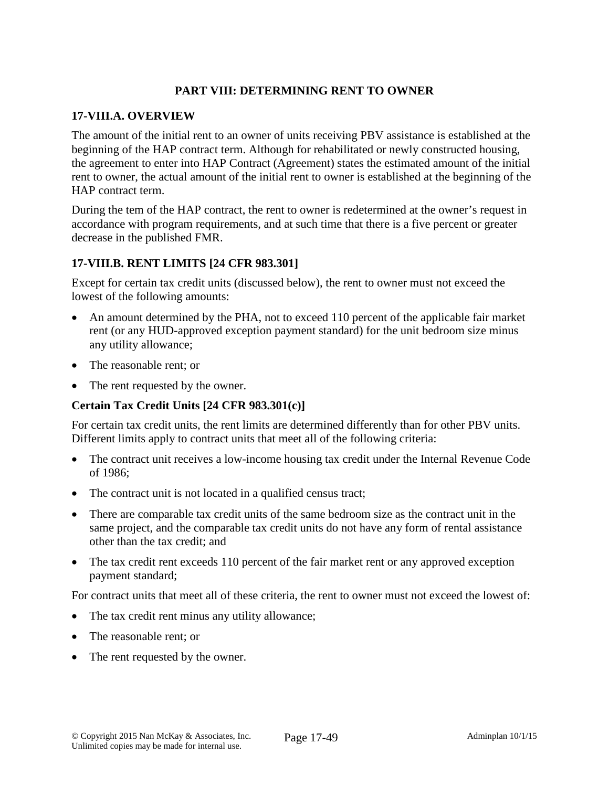# **PART VIII: DETERMINING RENT TO OWNER**

#### **17-VIII.A. OVERVIEW**

The amount of the initial rent to an owner of units receiving PBV assistance is established at the beginning of the HAP contract term. Although for rehabilitated or newly constructed housing, the agreement to enter into HAP Contract (Agreement) states the estimated amount of the initial rent to owner, the actual amount of the initial rent to owner is established at the beginning of the HAP contract term.

During the tem of the HAP contract, the rent to owner is redetermined at the owner's request in accordance with program requirements, and at such time that there is a five percent or greater decrease in the published FMR.

# **17-VIII.B. RENT LIMITS [24 CFR 983.301]**

Except for certain tax credit units (discussed below), the rent to owner must not exceed the lowest of the following amounts:

- An amount determined by the PHA, not to exceed 110 percent of the applicable fair market rent (or any HUD-approved exception payment standard) for the unit bedroom size minus any utility allowance;
- The reasonable rent; or
- The rent requested by the owner.

# **Certain Tax Credit Units [24 CFR 983.301(c)]**

For certain tax credit units, the rent limits are determined differently than for other PBV units. Different limits apply to contract units that meet all of the following criteria:

- The contract unit receives a low-income housing tax credit under the Internal Revenue Code of 1986;
- The contract unit is not located in a qualified census tract;
- There are comparable tax credit units of the same bedroom size as the contract unit in the same project, and the comparable tax credit units do not have any form of rental assistance other than the tax credit; and
- The tax credit rent exceeds 110 percent of the fair market rent or any approved exception payment standard;

For contract units that meet all of these criteria, the rent to owner must not exceed the lowest of:

- The tax credit rent minus any utility allowance;
- The reasonable rent; or
- The rent requested by the owner.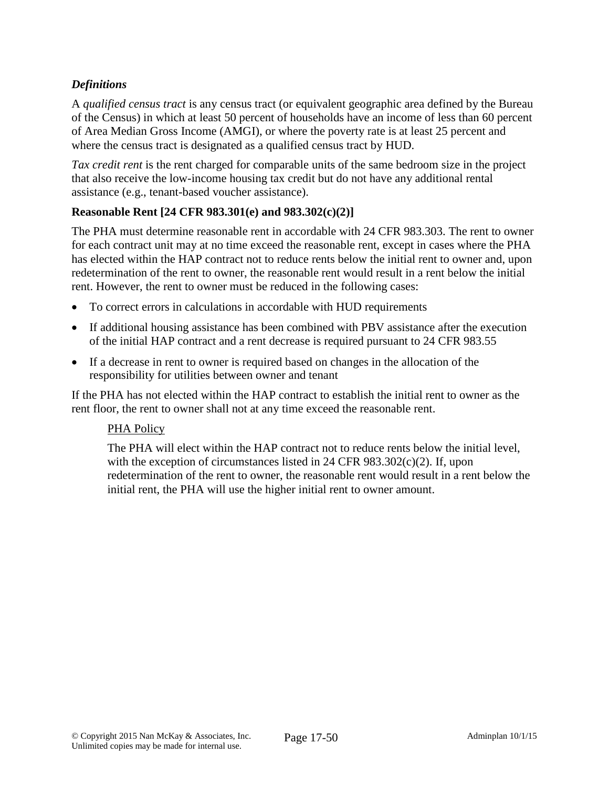# *Definitions*

A *qualified census tract* is any census tract (or equivalent geographic area defined by the Bureau of the Census) in which at least 50 percent of households have an income of less than 60 percent of Area Median Gross Income (AMGI), or where the poverty rate is at least 25 percent and where the census tract is designated as a qualified census tract by HUD.

*Tax credit rent* is the rent charged for comparable units of the same bedroom size in the project that also receive the low-income housing tax credit but do not have any additional rental assistance (e.g., tenant-based voucher assistance).

# **Reasonable Rent [24 CFR 983.301(e) and 983.302(c)(2)]**

The PHA must determine reasonable rent in accordable with 24 CFR 983.303. The rent to owner for each contract unit may at no time exceed the reasonable rent, except in cases where the PHA has elected within the HAP contract not to reduce rents below the initial rent to owner and, upon redetermination of the rent to owner, the reasonable rent would result in a rent below the initial rent. However, the rent to owner must be reduced in the following cases:

- To correct errors in calculations in accordable with HUD requirements
- If additional housing assistance has been combined with PBV assistance after the execution of the initial HAP contract and a rent decrease is required pursuant to 24 CFR 983.55
- If a decrease in rent to owner is required based on changes in the allocation of the responsibility for utilities between owner and tenant

If the PHA has not elected within the HAP contract to establish the initial rent to owner as the rent floor, the rent to owner shall not at any time exceed the reasonable rent.

#### PHA Policy

The PHA will elect within the HAP contract not to reduce rents below the initial level, with the exception of circumstances listed in 24 CFR 983.302(c)(2). If, upon redetermination of the rent to owner, the reasonable rent would result in a rent below the initial rent, the PHA will use the higher initial rent to owner amount.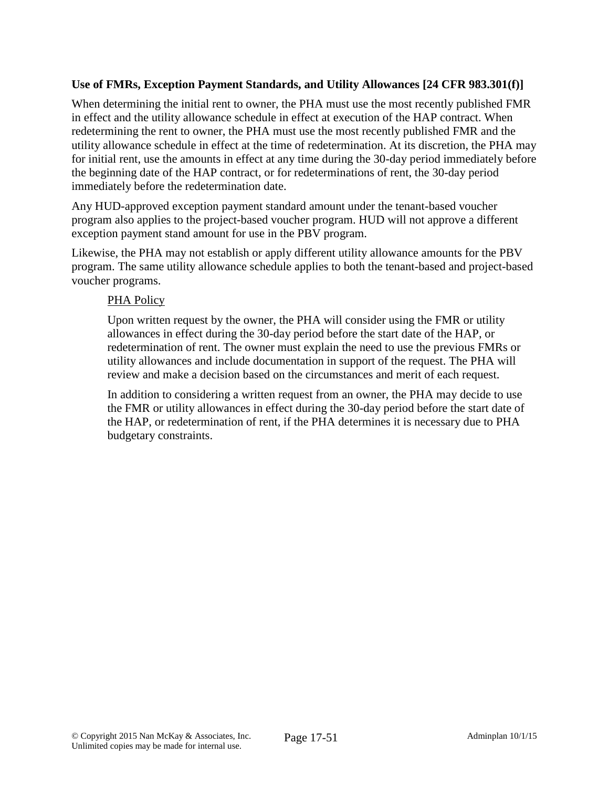# **Use of FMRs, Exception Payment Standards, and Utility Allowances [24 CFR 983.301(f)]**

When determining the initial rent to owner, the PHA must use the most recently published FMR in effect and the utility allowance schedule in effect at execution of the HAP contract. When redetermining the rent to owner, the PHA must use the most recently published FMR and the utility allowance schedule in effect at the time of redetermination. At its discretion, the PHA may for initial rent, use the amounts in effect at any time during the 30-day period immediately before the beginning date of the HAP contract, or for redeterminations of rent, the 30-day period immediately before the redetermination date.

Any HUD-approved exception payment standard amount under the tenant-based voucher program also applies to the project-based voucher program. HUD will not approve a different exception payment stand amount for use in the PBV program.

Likewise, the PHA may not establish or apply different utility allowance amounts for the PBV program. The same utility allowance schedule applies to both the tenant-based and project-based voucher programs.

#### PHA Policy

Upon written request by the owner, the PHA will consider using the FMR or utility allowances in effect during the 30-day period before the start date of the HAP, or redetermination of rent. The owner must explain the need to use the previous FMRs or utility allowances and include documentation in support of the request. The PHA will review and make a decision based on the circumstances and merit of each request.

In addition to considering a written request from an owner, the PHA may decide to use the FMR or utility allowances in effect during the 30-day period before the start date of the HAP, or redetermination of rent, if the PHA determines it is necessary due to PHA budgetary constraints.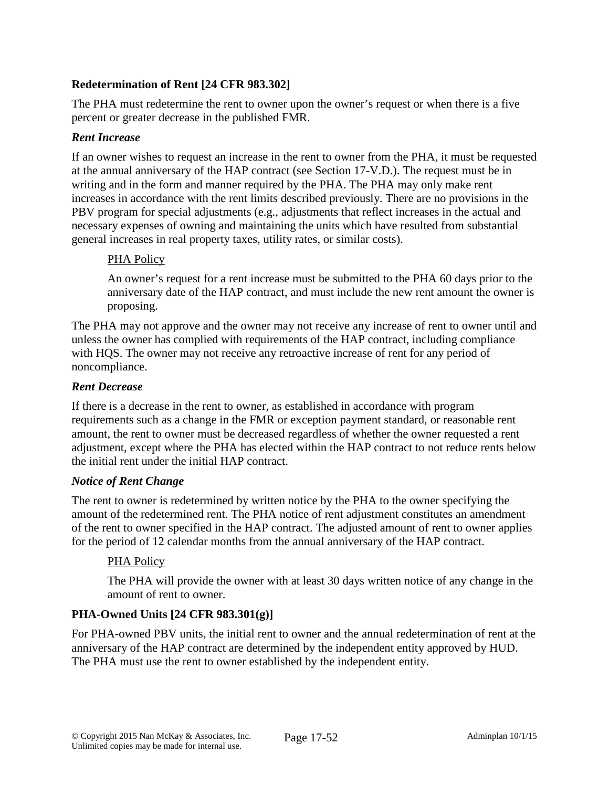# **Redetermination of Rent [24 CFR 983.302]**

The PHA must redetermine the rent to owner upon the owner's request or when there is a five percent or greater decrease in the published FMR.

### *Rent Increase*

If an owner wishes to request an increase in the rent to owner from the PHA, it must be requested at the annual anniversary of the HAP contract (see Section 17-V.D.). The request must be in writing and in the form and manner required by the PHA. The PHA may only make rent increases in accordance with the rent limits described previously. There are no provisions in the PBV program for special adjustments (e.g., adjustments that reflect increases in the actual and necessary expenses of owning and maintaining the units which have resulted from substantial general increases in real property taxes, utility rates, or similar costs).

#### PHA Policy

An owner's request for a rent increase must be submitted to the PHA 60 days prior to the anniversary date of the HAP contract, and must include the new rent amount the owner is proposing.

The PHA may not approve and the owner may not receive any increase of rent to owner until and unless the owner has complied with requirements of the HAP contract, including compliance with HQS. The owner may not receive any retroactive increase of rent for any period of noncompliance.

#### *Rent Decrease*

If there is a decrease in the rent to owner, as established in accordance with program requirements such as a change in the FMR or exception payment standard, or reasonable rent amount, the rent to owner must be decreased regardless of whether the owner requested a rent adjustment, except where the PHA has elected within the HAP contract to not reduce rents below the initial rent under the initial HAP contract.

# *Notice of Rent Change*

The rent to owner is redetermined by written notice by the PHA to the owner specifying the amount of the redetermined rent. The PHA notice of rent adjustment constitutes an amendment of the rent to owner specified in the HAP contract. The adjusted amount of rent to owner applies for the period of 12 calendar months from the annual anniversary of the HAP contract.

# PHA Policy

The PHA will provide the owner with at least 30 days written notice of any change in the amount of rent to owner.

# **PHA-Owned Units [24 CFR 983.301(g)]**

For PHA-owned PBV units, the initial rent to owner and the annual redetermination of rent at the anniversary of the HAP contract are determined by the independent entity approved by HUD. The PHA must use the rent to owner established by the independent entity.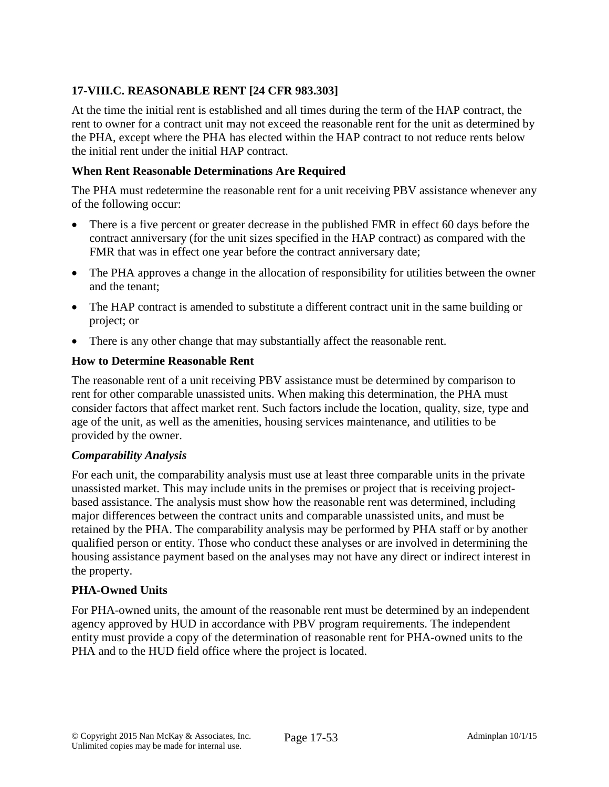# **17-VIII.C. REASONABLE RENT [24 CFR 983.303]**

At the time the initial rent is established and all times during the term of the HAP contract, the rent to owner for a contract unit may not exceed the reasonable rent for the unit as determined by the PHA, except where the PHA has elected within the HAP contract to not reduce rents below the initial rent under the initial HAP contract.

### **When Rent Reasonable Determinations Are Required**

The PHA must redetermine the reasonable rent for a unit receiving PBV assistance whenever any of the following occur:

- There is a five percent or greater decrease in the published FMR in effect 60 days before the contract anniversary (for the unit sizes specified in the HAP contract) as compared with the FMR that was in effect one year before the contract anniversary date;
- The PHA approves a change in the allocation of responsibility for utilities between the owner and the tenant;
- The HAP contract is amended to substitute a different contract unit in the same building or project; or
- There is any other change that may substantially affect the reasonable rent.

#### **How to Determine Reasonable Rent**

The reasonable rent of a unit receiving PBV assistance must be determined by comparison to rent for other comparable unassisted units. When making this determination, the PHA must consider factors that affect market rent. Such factors include the location, quality, size, type and age of the unit, as well as the amenities, housing services maintenance, and utilities to be provided by the owner.

#### *Comparability Analysis*

For each unit, the comparability analysis must use at least three comparable units in the private unassisted market. This may include units in the premises or project that is receiving projectbased assistance. The analysis must show how the reasonable rent was determined, including major differences between the contract units and comparable unassisted units, and must be retained by the PHA. The comparability analysis may be performed by PHA staff or by another qualified person or entity. Those who conduct these analyses or are involved in determining the housing assistance payment based on the analyses may not have any direct or indirect interest in the property.

# **PHA-Owned Units**

For PHA-owned units, the amount of the reasonable rent must be determined by an independent agency approved by HUD in accordance with PBV program requirements. The independent entity must provide a copy of the determination of reasonable rent for PHA-owned units to the PHA and to the HUD field office where the project is located.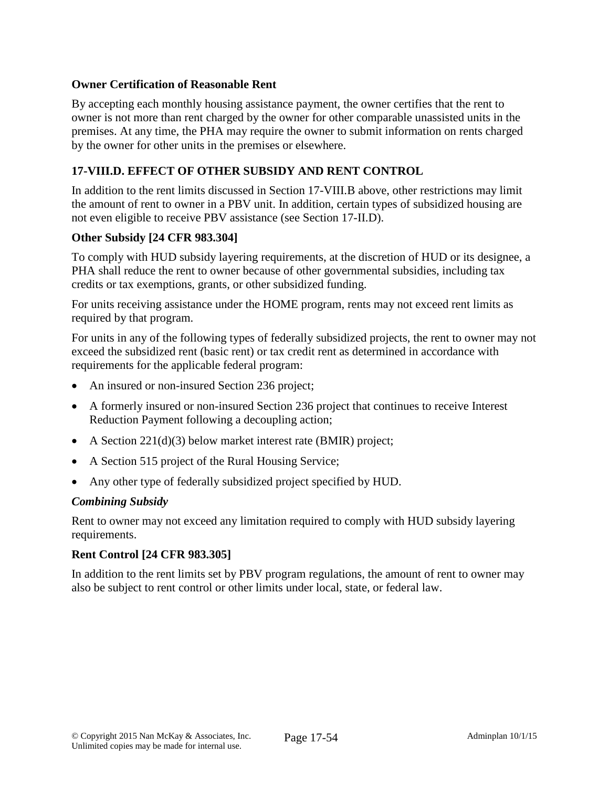### **Owner Certification of Reasonable Rent**

By accepting each monthly housing assistance payment, the owner certifies that the rent to owner is not more than rent charged by the owner for other comparable unassisted units in the premises. At any time, the PHA may require the owner to submit information on rents charged by the owner for other units in the premises or elsewhere.

# **17-VIII.D. EFFECT OF OTHER SUBSIDY AND RENT CONTROL**

In addition to the rent limits discussed in Section 17-VIII.B above, other restrictions may limit the amount of rent to owner in a PBV unit. In addition, certain types of subsidized housing are not even eligible to receive PBV assistance (see Section 17-II.D).

#### **Other Subsidy [24 CFR 983.304]**

To comply with HUD subsidy layering requirements, at the discretion of HUD or its designee, a PHA shall reduce the rent to owner because of other governmental subsidies, including tax credits or tax exemptions, grants, or other subsidized funding.

For units receiving assistance under the HOME program, rents may not exceed rent limits as required by that program.

For units in any of the following types of federally subsidized projects, the rent to owner may not exceed the subsidized rent (basic rent) or tax credit rent as determined in accordance with requirements for the applicable federal program:

- An insured or non-insured Section 236 project;
- A formerly insured or non-insured Section 236 project that continues to receive Interest Reduction Payment following a decoupling action;
- A Section 221(d)(3) below market interest rate (BMIR) project;
- A Section 515 project of the Rural Housing Service;
- Any other type of federally subsidized project specified by HUD.

#### *Combining Subsidy*

Rent to owner may not exceed any limitation required to comply with HUD subsidy layering requirements.

# **Rent Control [24 CFR 983.305]**

In addition to the rent limits set by PBV program regulations, the amount of rent to owner may also be subject to rent control or other limits under local, state, or federal law.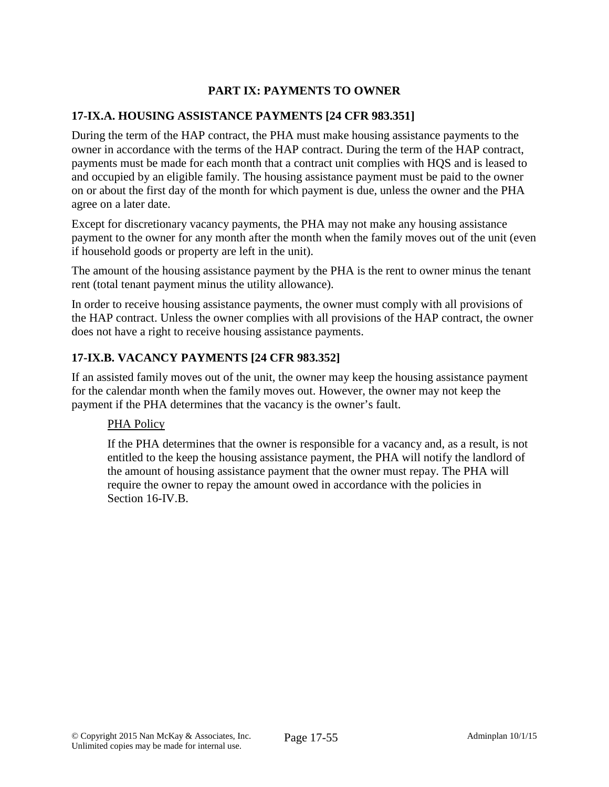# **PART IX: PAYMENTS TO OWNER**

# **17-IX.A. HOUSING ASSISTANCE PAYMENTS [24 CFR 983.351]**

During the term of the HAP contract, the PHA must make housing assistance payments to the owner in accordance with the terms of the HAP contract. During the term of the HAP contract, payments must be made for each month that a contract unit complies with HQS and is leased to and occupied by an eligible family. The housing assistance payment must be paid to the owner on or about the first day of the month for which payment is due, unless the owner and the PHA agree on a later date.

Except for discretionary vacancy payments, the PHA may not make any housing assistance payment to the owner for any month after the month when the family moves out of the unit (even if household goods or property are left in the unit).

The amount of the housing assistance payment by the PHA is the rent to owner minus the tenant rent (total tenant payment minus the utility allowance).

In order to receive housing assistance payments, the owner must comply with all provisions of the HAP contract. Unless the owner complies with all provisions of the HAP contract, the owner does not have a right to receive housing assistance payments.

# **17-IX.B. VACANCY PAYMENTS [24 CFR 983.352]**

If an assisted family moves out of the unit, the owner may keep the housing assistance payment for the calendar month when the family moves out. However, the owner may not keep the payment if the PHA determines that the vacancy is the owner's fault.

# PHA Policy

If the PHA determines that the owner is responsible for a vacancy and, as a result, is not entitled to the keep the housing assistance payment, the PHA will notify the landlord of the amount of housing assistance payment that the owner must repay. The PHA will require the owner to repay the amount owed in accordance with the policies in Section 16-IV.B.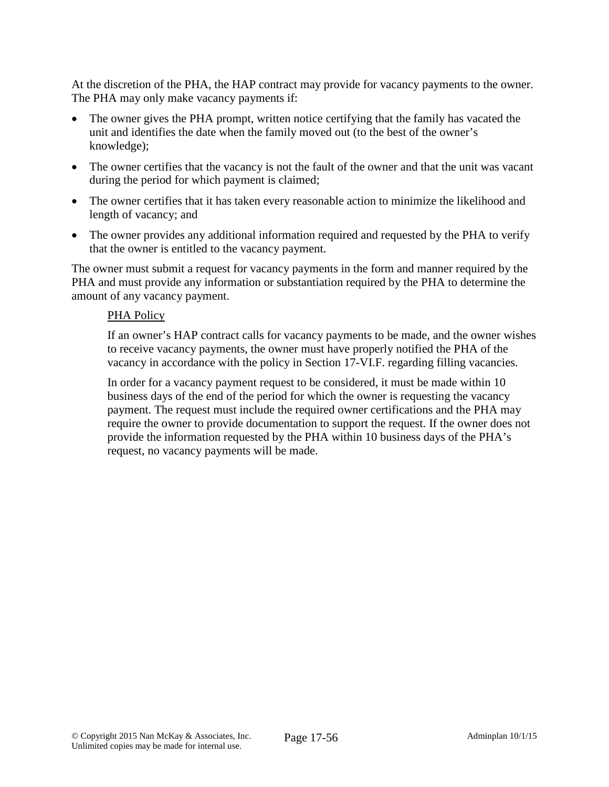At the discretion of the PHA, the HAP contract may provide for vacancy payments to the owner. The PHA may only make vacancy payments if:

- The owner gives the PHA prompt, written notice certifying that the family has vacated the unit and identifies the date when the family moved out (to the best of the owner's knowledge);
- The owner certifies that the vacancy is not the fault of the owner and that the unit was vacant during the period for which payment is claimed;
- The owner certifies that it has taken every reasonable action to minimize the likelihood and length of vacancy; and
- The owner provides any additional information required and requested by the PHA to verify that the owner is entitled to the vacancy payment.

The owner must submit a request for vacancy payments in the form and manner required by the PHA and must provide any information or substantiation required by the PHA to determine the amount of any vacancy payment.

#### PHA Policy

If an owner's HAP contract calls for vacancy payments to be made, and the owner wishes to receive vacancy payments, the owner must have properly notified the PHA of the vacancy in accordance with the policy in Section 17-VI.F. regarding filling vacancies.

In order for a vacancy payment request to be considered, it must be made within 10 business days of the end of the period for which the owner is requesting the vacancy payment. The request must include the required owner certifications and the PHA may require the owner to provide documentation to support the request. If the owner does not provide the information requested by the PHA within 10 business days of the PHA's request, no vacancy payments will be made.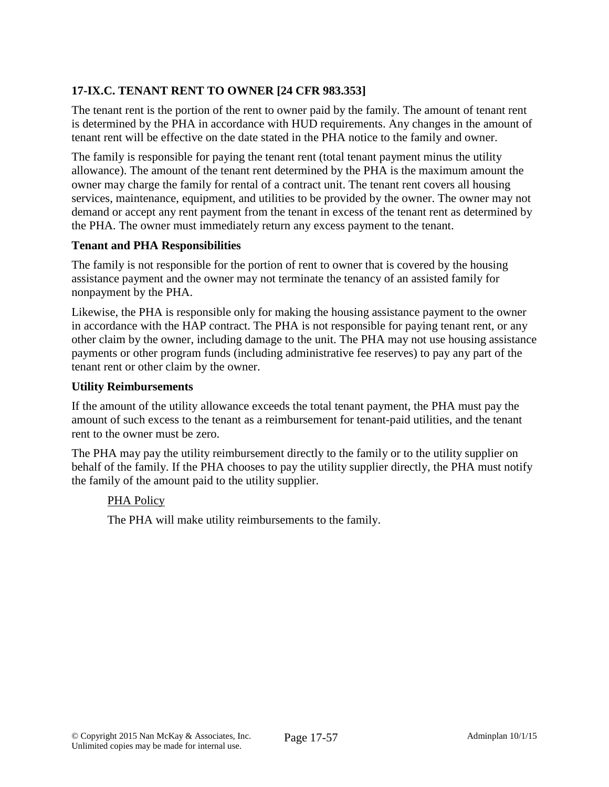# **17-IX.C. TENANT RENT TO OWNER [24 CFR 983.353]**

The tenant rent is the portion of the rent to owner paid by the family. The amount of tenant rent is determined by the PHA in accordance with HUD requirements. Any changes in the amount of tenant rent will be effective on the date stated in the PHA notice to the family and owner.

The family is responsible for paying the tenant rent (total tenant payment minus the utility allowance). The amount of the tenant rent determined by the PHA is the maximum amount the owner may charge the family for rental of a contract unit. The tenant rent covers all housing services, maintenance, equipment, and utilities to be provided by the owner. The owner may not demand or accept any rent payment from the tenant in excess of the tenant rent as determined by the PHA. The owner must immediately return any excess payment to the tenant.

#### **Tenant and PHA Responsibilities**

The family is not responsible for the portion of rent to owner that is covered by the housing assistance payment and the owner may not terminate the tenancy of an assisted family for nonpayment by the PHA.

Likewise, the PHA is responsible only for making the housing assistance payment to the owner in accordance with the HAP contract. The PHA is not responsible for paying tenant rent, or any other claim by the owner, including damage to the unit. The PHA may not use housing assistance payments or other program funds (including administrative fee reserves) to pay any part of the tenant rent or other claim by the owner.

#### **Utility Reimbursements**

If the amount of the utility allowance exceeds the total tenant payment, the PHA must pay the amount of such excess to the tenant as a reimbursement for tenant-paid utilities, and the tenant rent to the owner must be zero.

The PHA may pay the utility reimbursement directly to the family or to the utility supplier on behalf of the family. If the PHA chooses to pay the utility supplier directly, the PHA must notify the family of the amount paid to the utility supplier.

# PHA Policy

The PHA will make utility reimbursements to the family.